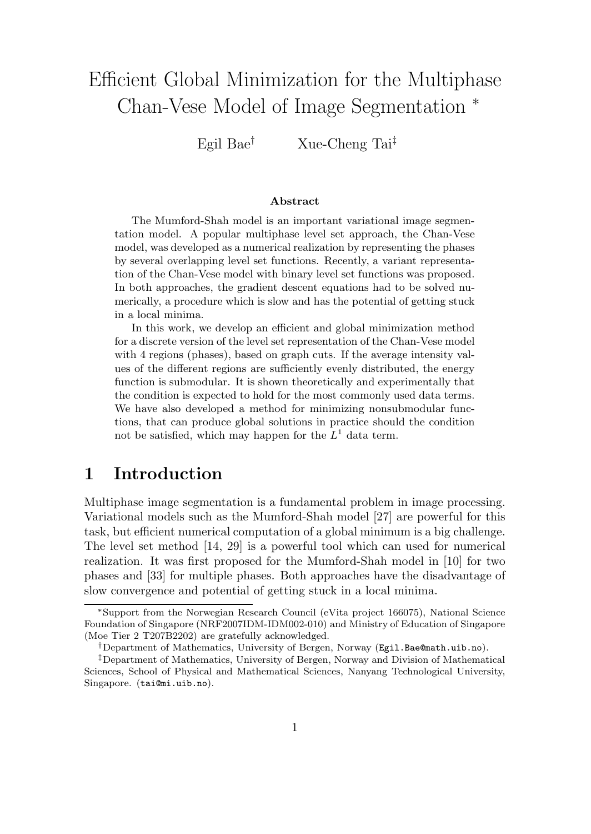# Efficient Global Minimization for the Multiphase Chan-Vese Model of Image Segmentation <sup>∗</sup>

Egil Bae† Xue-Cheng Tai‡

### **Abstract**

The Mumford-Shah model is an important variational image segmentation model. A popular multiphase level set approach, the Chan-Vese model, was developed as a numerical realization by representing the phases by several overlapping level set functions. Recently, a variant representation of the Chan-Vese model with binary level set functions was proposed. In both approaches, the gradient descent equations had to be solved numerically, a procedure which is slow and has the potential of getting stuck in a local minima.

In this work, we develop an efficient and global minimization method for a discrete version of the level set representation of the Chan-Vese model with 4 regions (phases), based on graph cuts. If the average intensity values of the different regions are sufficiently evenly distributed, the energy function is submodular. It is shown theoretically and experimentally that the condition is expected to hold for the most commonly used data terms. We have also developed a method for minimizing nonsubmodular functions, that can produce global solutions in practice should the condition not be satisfied, which may happen for the  $L<sup>1</sup>$  data term.

## **1 Introduction**

Multiphase image segmentation is a fundamental problem in image processing. Variational models such as the Mumford-Shah model [27] are powerful for this task, but efficient numerical computation of a global minimum is a big challenge. The level set method [14, 29] is a powerful tool which can used for numerical realization. It was first proposed for the Mumford-Shah model in [10] for two phases and [33] for multiple phases. Both approaches have the disadvantage of slow convergence and potential of getting stuck in a local minima.

<sup>∗</sup>Support from the Norwegian Research Council (eVita project 166075), National Science (Moe Tier  $2$  T207B2202) are gratefully acknowledged.

<sup>†</sup>Department of Mathematics, University of Bergen, Norway (Egil.Bae@math.uib.no).<br>‡Department of Mathematics, University of Bergen, Norway and Division of Mathemat

<sup>‡</sup>Department of Mathematics, University of Bergen, Norway and Division of Mathematical Sciences, School of Physical and Mathematical Sciences, Nanyang Technological University, Singapore. (tai@mi.uib.no).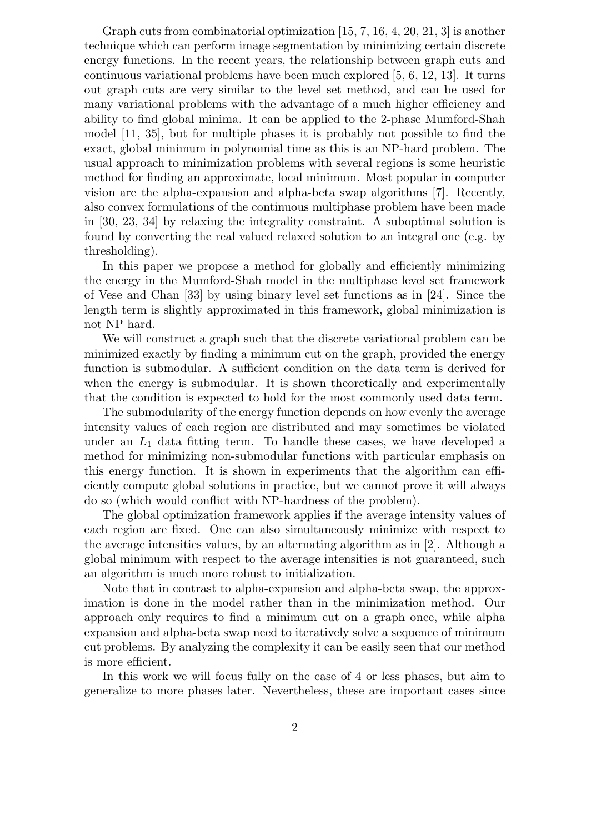Graph cuts from combinatorial optimization [15, 7, 16, 4, 20, 21, 3] is another technique which can perform image segmentation by minimizing certain discrete energy functions. In the recent years, the relationship between graph cuts and continuous variational problems have been much explored [5, 6, 12, 13]. It turns out graph cuts are very similar to the level set method, and can be used for many variational problems with the advantage of a much higher efficiency and ability to find global minima. It can be applied to the 2-phase Mumford-Shah model [11, 35], but for multiple phases it is probably not possible to find the exact, global minimum in polynomial time as this is an NP-hard problem. The usual approach to minimization problems with several regions is some heuristic method for finding an approximate, local minimum. Most popular in computer vision are the alpha-expansion and alpha-beta swap algorithms [7]. Recently, also convex formulations of the continuous multiphase problem have been made in [30, 23, 34] by relaxing the integrality constraint. A suboptimal solution is found by converting the real valued relaxed solution to an integral one (e.g. by thresholding).

In this paper we propose a method for globally and efficiently minimizing the energy in the Mumford-Shah model in the multiphase level set framework of Vese and Chan [33] by using binary level set functions as in [24]. Since the length term is slightly approximated in this framework, global minimization is not NP hard.

We will construct a graph such that the discrete variational problem can be minimized exactly by finding a minimum cut on the graph, provided the energy function is submodular. A sufficient condition on the data term is derived for when the energy is submodular. It is shown theoretically and experimentally that the condition is expected to hold for the most commonly used data term.

The submodularity of the energy function depends on how evenly the average intensity values of each region are distributed and may sometimes be violated under an  $L_1$  data fitting term. To handle these cases, we have developed a method for minimizing non-submodular functions with particular emphasis on this energy function. It is shown in experiments that the algorithm can efficiently compute global solutions in practice, but we cannot prove it will always do so (which would conflict with NP-hardness of the problem).

The global optimization framework applies if the average intensity values of each region are fixed. One can also simultaneously minimize with respect to the average intensities values, by an alternating algorithm as in [2]. Although a global minimum with respect to the average intensities is not guaranteed, such an algorithm is much more robust to initialization.

Note that in contrast to alpha-expansion and alpha-beta swap, the approximation is done in the model rather than in the minimization method. Our approach only requires to find a minimum cut on a graph once, while alpha expansion and alpha-beta swap need to iteratively solve a sequence of minimum cut problems. By analyzing the complexity it can be easily seen that our method is more efficient.

In this work we will focus fully on the case of 4 or less phases, but aim to generalize to more phases later. Nevertheless, these are important cases since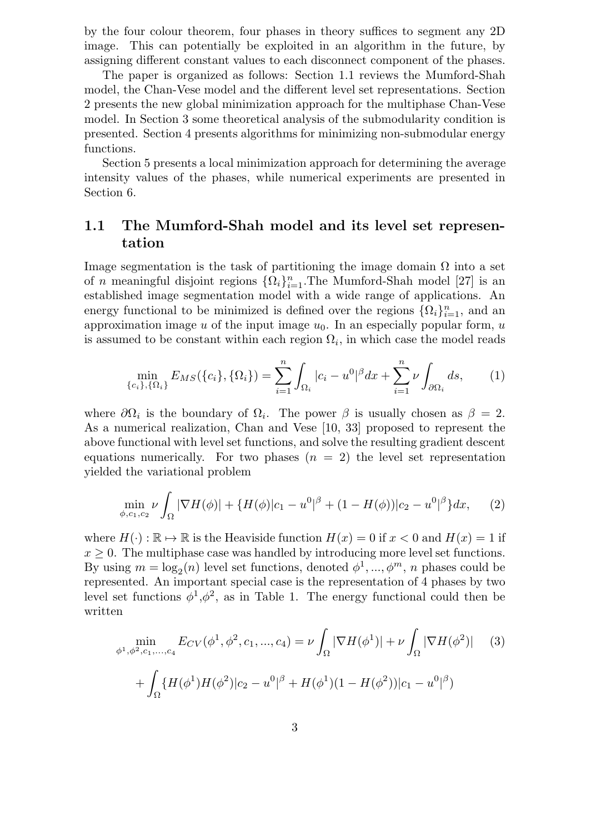by the four colour theorem, four phases in theory suffices to segment any 2D image. This can potentially be exploited in an algorithm in the future, by assigning different constant values to each disconnect component of the phases.

The paper is organized as follows: Section 1.1 reviews the Mumford-Shah model, the Chan-Vese model and the different level set representations. Section 2 presents the new global minimization approach for the multiphase Chan-Vese model. In Section 3 some theoretical analysis of the submodularity condition is presented. Section 4 presents algorithms for minimizing non-submodular energy functions.

Section 5 presents a local minimization approach for determining the average intensity values of the phases, while numerical experiments are presented in Section 6.

### **1.1 The Mumford-Shah model and its level set representation**

Image segmentation is the task of partitioning the image domain  $\Omega$  into a set of *n* meaningful disjoint regions  $\{\Omega_i\}_{i=1}^n$ . The Mumford-Shah model [27] is an established image segmentation model with a wide range of applications. An energy functional to be minimized is defined over the regions  $\{\Omega_i\}_{i=1}^n$ , and an approximation image u of the input image  $u_0$ . In an especially popular form, u is assumed to be constant within each region  $\Omega_i$ , in which case the model reads

$$
\min_{\{c_i\},\{\Omega_i\}} E_{MS}(\{c_i\},\{\Omega_i\}) = \sum_{i=1}^n \int_{\Omega_i} |c_i - u^0|^{\beta} dx + \sum_{i=1}^n \nu \int_{\partial\Omega_i} ds,\qquad(1)
$$

where  $\partial\Omega_i$  is the boundary of  $\Omega_i$ . The power  $\beta$  is usually chosen as  $\beta = 2$ . As a numerical realization, Chan and Vese [10, 33] proposed to represent the above functional with level set functions, and solve the resulting gradient descent equations numerically. For two phases  $(n = 2)$  the level set representation yielded the variational problem

$$
\min_{\phi, c_1, c_2} \nu \int_{\Omega} |\nabla H(\phi)| + \{H(\phi)|c_1 - u^0|^{\beta} + (1 - H(\phi))|c_2 - u^0|^{\beta}\} dx, \qquad (2)
$$

where  $H(\cdot): \mathbb{R} \to \mathbb{R}$  is the Heaviside function  $H(x) = 0$  if  $x < 0$  and  $H(x) = 1$  if  $x \geq 0$ . The multiphase case was handled by introducing more level set functions. By using  $m = \log_2(n)$  level set functions, denoted  $\phi^1, ..., \phi^m, n$  phases could be represented. An important special case is the representation of 4 phases by two level set functions  $\phi^1, \phi^2$ , as in Table 1. The energy functional could then be written

$$
\min_{\phi^1, \phi^2, c_1, \dots, c_4} E_{CV}(\phi^1, \phi^2, c_1, \dots, c_4) = \nu \int_{\Omega} |\nabla H(\phi^1)| + \nu \int_{\Omega} |\nabla H(\phi^2)| \tag{3}
$$

$$
+ \int_{\Omega} \{ H(\phi^1) H(\phi^2) | c_2 - u^0|^{\beta} + H(\phi^1) (1 - H(\phi^2)) | c_1 - u^0|^{\beta} \}
$$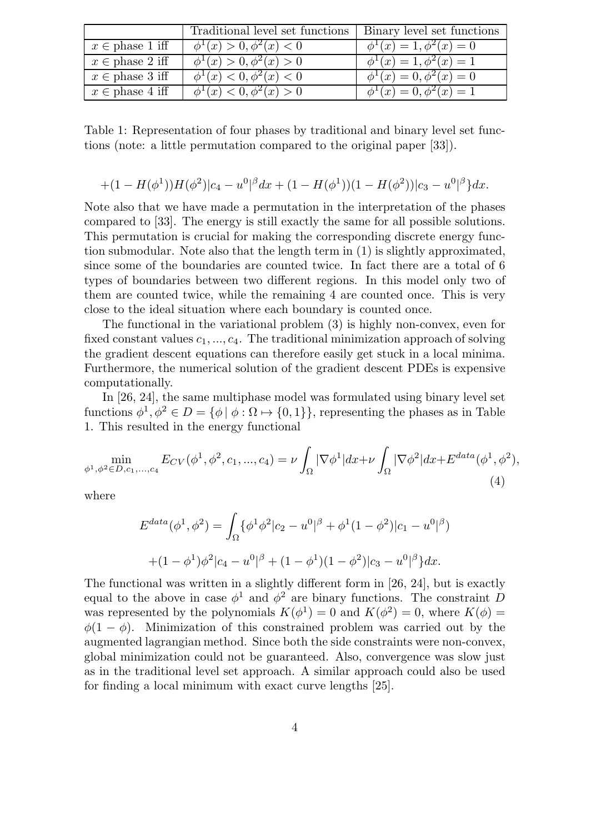|                                      | Traditional level set functions   Binary level set functions |                                    |
|--------------------------------------|--------------------------------------------------------------|------------------------------------|
| $x \in \text{phase 1 iff}$           | $\phi^1(x) > 0, \phi^2(x) < 0$                               | $\phi^1(x) = 1, \phi^2(x) = 0$     |
| $x \in \text{phase } 2 \text{ iff }$ | $\phi^1(x) > 0, \phi^2(x) > 0$                               | $\phi^{1}(x) = 1, \phi^{2}(x) = 1$ |
| $x \in \text{phase } 3 \text{ iff}$  | $\phi^1(x) < 0, \phi^2(x) < 0$                               | $\phi^{1}(x) = 0, \phi^{2}(x) = 0$ |
| $x \in \text{phase } 4 \text{ iff}$  | $\phi^1(x) < 0, \phi^2(x) > 0$                               | $\phi^1(x) = 0, \phi^2(x) = 1$     |

Table 1: Representation of four phases by traditional and binary level set functions (note: a little permutation compared to the original paper [33]).

$$
+(1-H(\phi^1))H(\phi^2)|c_4-u^0|^{\beta}dx+(1-H(\phi^1))(1-H(\phi^2))|c_3-u^0|^{\beta}\}dx.
$$

Note also that we have made a permutation in the interpretation of the phases compared to [33]. The energy is still exactly the same for all possible solutions. This permutation is crucial for making the corresponding discrete energy function submodular. Note also that the length term in (1) is slightly approximated, since some of the boundaries are counted twice. In fact there are a total of 6 types of boundaries between two different regions. In this model only two of them are counted twice, while the remaining 4 are counted once. This is very close to the ideal situation where each boundary is counted once.

The functional in the variational problem (3) is highly non-convex, even for fixed constant values  $c_1, ..., c_4$ . The traditional minimization approach of solving the gradient descent equations can therefore easily get stuck in a local minima. Furthermore, the numerical solution of the gradient descent PDEs is expensive computationally.

In [26, 24], the same multiphase model was formulated using binary level set functions  $\phi^1, \phi^2 \in D = {\phi | \phi : \Omega \mapsto \{0,1\}}$ , representing the phases as in Table 1. This resulted in the energy functional

$$
\min_{\phi^1, \phi^2 \in D, c_1, ..., c_4} E_{CV}(\phi^1, \phi^2, c_1, ..., c_4) = \nu \int_{\Omega} |\nabla \phi^1| dx + \nu \int_{\Omega} |\nabla \phi^2| dx + E^{data}(\phi^1, \phi^2),
$$
\n(4)

where

$$
E^{data}(\phi^1, \phi^2) = \int_{\Omega} {\{\phi^1 \phi^2 | c_2 - u^0|^\beta + \phi^1 (1 - \phi^2) | c_1 - u^0|^\beta \} }
$$
  
+(1 - \phi^1)\phi^2 | c\_4 - u^0|^\beta + (1 - \phi^1)(1 - \phi^2) | c\_3 - u^0|^\beta } dx.

The functional was written in a slightly different form in [26, 24], but is exactly equal to the above in case  $\phi^1$  and  $\phi^2$  are binary functions. The constraint D was represented by the polynomials  $K(\phi^1) = 0$  and  $K(\phi^2) = 0$ , where  $K(\phi) =$  $\phi(1-\phi)$ . Minimization of this constrained problem was carried out by the augmented lagrangian method. Since both the side constraints were non-convex, global minimization could not be guaranteed. Also, convergence was slow just as in the traditional level set approach. A similar approach could also be used for finding a local minimum with exact curve lengths [25].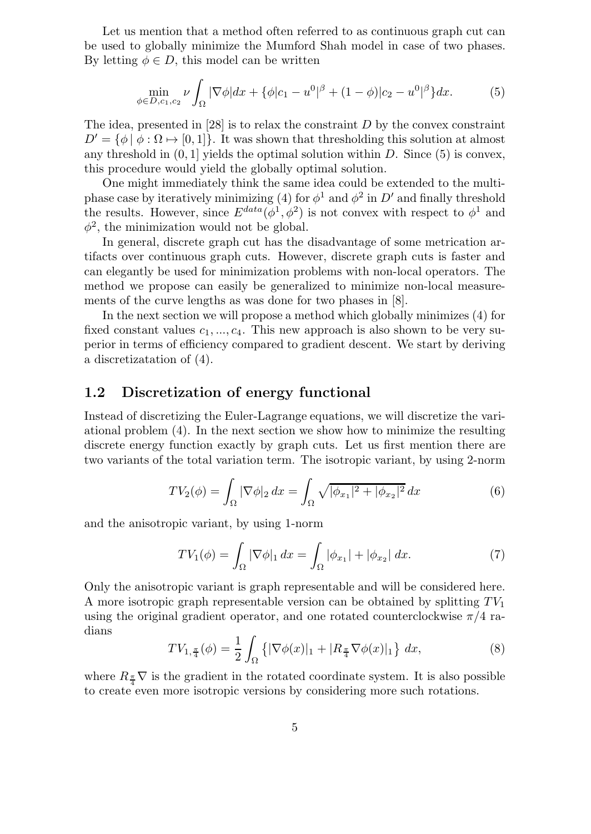Let us mention that a method often referred to as continuous graph cut can be used to globally minimize the Mumford Shah model in case of two phases. By letting  $\phi \in D$ , this model can be written

$$
\min_{\phi \in D, c_1, c_2} \nu \int_{\Omega} |\nabla \phi| dx + {\phi |c_1 - u^0|}^{\beta} + (1 - \phi)|c_2 - u^0|^\beta dx. \tag{5}
$$

The idea, presented in  $[28]$  is to relax the constraint D by the convex constraint  $D' = \{\phi | \phi : \Omega \mapsto [0,1]\}.$  It was shown that thresholding this solution at almost any threshold in  $(0, 1]$  yields the optimal solution within D. Since  $(5)$  is convex, this procedure would yield the globally optimal solution.

One might immediately think the same idea could be extended to the multiphase case by iteratively minimizing (4) for  $\phi^1$  and  $\phi^2$  in D' and finally threshold the results. However, since  $E^{data}(\phi^1, \phi^2)$  is not convex with respect to  $\phi^1$  and  $\phi^2$ , the minimization would not be global.

In general, discrete graph cut has the disadvantage of some metrication artifacts over continuous graph cuts. However, discrete graph cuts is faster and can elegantly be used for minimization problems with non-local operators. The method we propose can easily be generalized to minimize non-local measurements of the curve lengths as was done for two phases in [8].

In the next section we will propose a method which globally minimizes (4) for fixed constant values  $c_1, ..., c_4$ . This new approach is also shown to be very superior in terms of efficiency compared to gradient descent. We start by deriving a discretizatation of (4).

### **1.2 Discretization of energy functional**

Instead of discretizing the Euler-Lagrange equations, we will discretize the variational problem (4). In the next section we show how to minimize the resulting discrete energy function exactly by graph cuts. Let us first mention there are two variants of the total variation term. The isotropic variant, by using 2-norm

$$
TV_2(\phi) = \int_{\Omega} |\nabla \phi|_2 \, dx = \int_{\Omega} \sqrt{|\phi_{x_1}|^2 + |\phi_{x_2}|^2} \, dx \tag{6}
$$

and the anisotropic variant, by using 1-norm

$$
TV_1(\phi) = \int_{\Omega} |\nabla \phi|_1 dx = \int_{\Omega} |\phi_{x_1}| + |\phi_{x_2}| dx.
$$
 (7)

Only the anisotropic variant is graph representable and will be considered here. A more isotropic graph representable version can be obtained by splitting  $TV_1$ using the original gradient operator, and one rotated counterclockwise  $\pi/4$  radians

$$
TV_{1,\frac{\pi}{4}}(\phi) = \frac{1}{2} \int_{\Omega} \left\{ |\nabla \phi(x)|_1 + |R_{\frac{\pi}{4}} \nabla \phi(x)|_1 \right\} dx, \tag{8}
$$

where  $R_{\frac{\pi}{4}}\nabla$  is the gradient in the rotated coordinate system. It is also possible to create even more isotropic versions by considering more such rotations.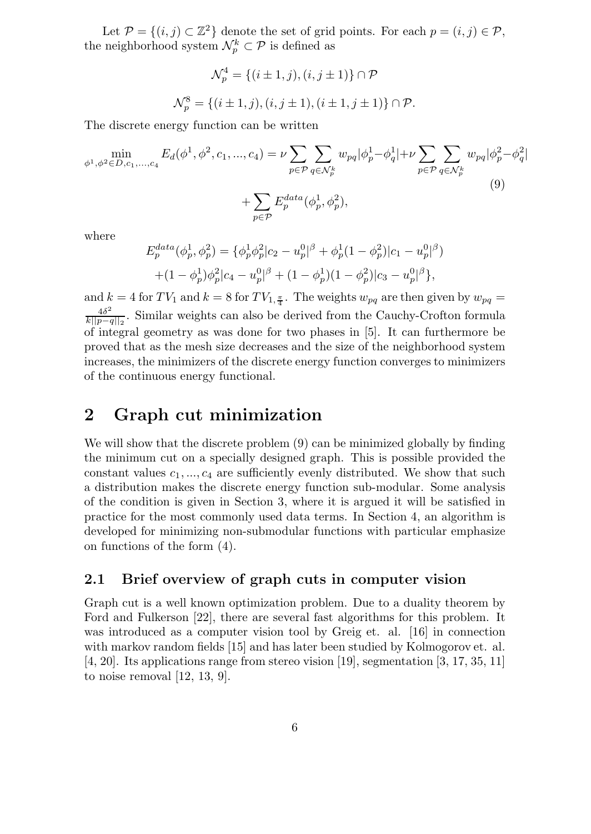Let  $\mathcal{P} = \{(i, j) \subset \mathbb{Z}^2\}$  denote the set of grid points. For each  $p = (i, j) \in \mathcal{P}$ , the neighborhood system  $\mathcal{N}_p^k \subset \mathcal{P}$  is defined as

$$
\mathcal{N}_p^4 = \{(i \pm 1, j), (i, j \pm 1)\} \cap \mathcal{P}
$$
  

$$
\mathcal{N}_p^8 = \{(i \pm 1, j), (i, j \pm 1), (i \pm 1, j \pm 1)\} \cap \mathcal{P}.
$$

The discrete energy function can be written

$$
\min_{\phi^1, \phi^2 \in D, c_1, ..., c_4} E_d(\phi^1, \phi^2, c_1, ..., c_4) = \nu \sum_{p \in \mathcal{P}} \sum_{q \in \mathcal{N}_p^k} w_{pq} |\phi_p^1 - \phi_q^1| + \nu \sum_{p \in \mathcal{P}} \sum_{q \in \mathcal{N}_p^k} w_{pq} |\phi_p^2 - \phi_q^2|
$$
\n
$$
+ \sum_{p \in \mathcal{P}} E_p^{data}(\phi_p^1, \phi_p^2),
$$
\n(9)

where

$$
E_p^{data}(\phi_p^1, \phi_p^2) = \{\phi_p^1 \phi_p^2 | c_2 - u_p^0|^\beta + \phi_p^1 (1 - \phi_p^2) | c_1 - u_p^0|^\beta \} + (1 - \phi_p^1) \phi_p^2 | c_4 - u_p^0|^\beta + (1 - \phi_p^1) (1 - \phi_p^2) | c_3 - u_p^0|^\beta \},
$$

and  $k = 4$  for  $TV_1$  and  $k = 8$  for  $TV_{1, \frac{\pi}{4}}$ . The weights  $w_{pq}$  are then given by  $w_{pq} =$  $\frac{4\delta^2}{k||p-q||_2}$ . Similar weights can also be derived from the Cauchy-Crofton formula of integral geometry as was done for two phases in [5]. It can furthermore be proved that as the mesh size decreases and the size of the neighborhood system increases, the minimizers of the discrete energy function converges to minimizers of the continuous energy functional.

## **2 Graph cut minimization**

We will show that the discrete problem (9) can be minimized globally by finding the minimum cut on a specially designed graph. This is possible provided the constant values  $c_1, ..., c_4$  are sufficiently evenly distributed. We show that such a distribution makes the discrete energy function sub-modular. Some analysis of the condition is given in Section 3, where it is argued it will be satisfied in practice for the most commonly used data terms. In Section 4, an algorithm is developed for minimizing non-submodular functions with particular emphasize on functions of the form (4).

### **2.1 Brief overview of graph cuts in computer vision**

Graph cut is a well known optimization problem. Due to a duality theorem by Ford and Fulkerson [22], there are several fast algorithms for this problem. It was introduced as a computer vision tool by Greig et. al. [16] in connection with markov random fields [15] and has later been studied by Kolmogorov et. al.  $[4, 20]$ . Its applications range from stereo vision [19], segmentation [3, 17, 35, 11] to noise removal [12, 13, 9].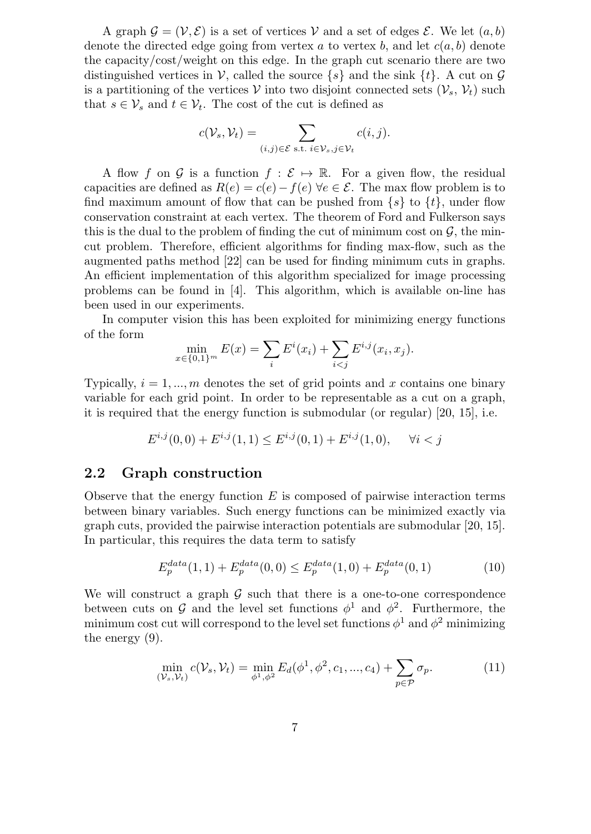A graph  $\mathcal{G} = (\mathcal{V}, \mathcal{E})$  is a set of vertices V and a set of edges  $\mathcal{E}$ . We let  $(a, b)$ denote the directed edge going from vertex a to vertex b, and let  $c(a, b)$  denote the capacity/cost/weight on this edge. In the graph cut scenario there are two distinguished vertices in V, called the source  $\{s\}$  and the sink  $\{t\}$ . A cut on G is a partitioning of the vertices V into two disjoint connected sets  $(\mathcal{V}_s, \mathcal{V}_t)$  such that  $s \in V_s$  and  $t \in V_t$ . The cost of the cut is defined as

$$
c(\mathcal{V}_s, \mathcal{V}_t) = \sum_{(i,j) \in \mathcal{E} \text{ s.t. } i \in \mathcal{V}_s, j \in \mathcal{V}_t} c(i,j).
$$

A flow f on G is a function  $f : \mathcal{E} \mapsto \mathbb{R}$ . For a given flow, the residual capacities are defined as  $R(e) = c(e) - f(e) \,\forall e \in \mathcal{E}$ . The max flow problem is to find maximum amount of flow that can be pushed from  $\{s\}$  to  $\{t\}$ , under flow conservation constraint at each vertex. The theorem of Ford and Fulkerson says this is the dual to the problem of finding the cut of minimum cost on  $\mathcal{G}$ , the mincut problem. Therefore, efficient algorithms for finding max-flow, such as the augmented paths method [22] can be used for finding minimum cuts in graphs. An efficient implementation of this algorithm specialized for image processing problems can be found in [4]. This algorithm, which is available on-line has been used in our experiments.

In computer vision this has been exploited for minimizing energy functions of the form

$$
\min_{x \in \{0,1\}^m} E(x) = \sum_i E^i(x_i) + \sum_{i < j} E^{i,j}(x_i, x_j).
$$

Typically,  $i = 1, ..., m$  denotes the set of grid points and x contains one binary variable for each grid point. In order to be representable as a cut on a graph, it is required that the energy function is submodular (or regular) [20, 15], i.e.

$$
E^{i,j}(0,0) + E^{i,j}(1,1) \le E^{i,j}(0,1) + E^{i,j}(1,0), \quad \forall i < j
$$

### **2.2 Graph construction**

Observe that the energy function  $E$  is composed of pairwise interaction terms between binary variables. Such energy functions can be minimized exactly via graph cuts, provided the pairwise interaction potentials are submodular [20, 15]. In particular, this requires the data term to satisfy

$$
E_p^{data}(1,1) + E_p^{data}(0,0) \le E_p^{data}(1,0) + E_p^{data}(0,1)
$$
\n(10)

We will construct a graph  $G$  such that there is a one-to-one correspondence between cuts on G and the level set functions  $\phi^1$  and  $\phi^2$ . Furthermore, the minimum cost cut will correspond to the level set functions  $\phi^1$  and  $\phi^2$  minimizing the energy (9).

$$
\min_{(\mathcal{V}_s, \mathcal{V}_t)} c(\mathcal{V}_s, \mathcal{V}_t) = \min_{\phi^1, \phi^2} E_d(\phi^1, \phi^2, c_1, ..., c_4) + \sum_{p \in \mathcal{P}} \sigma_p.
$$
 (11)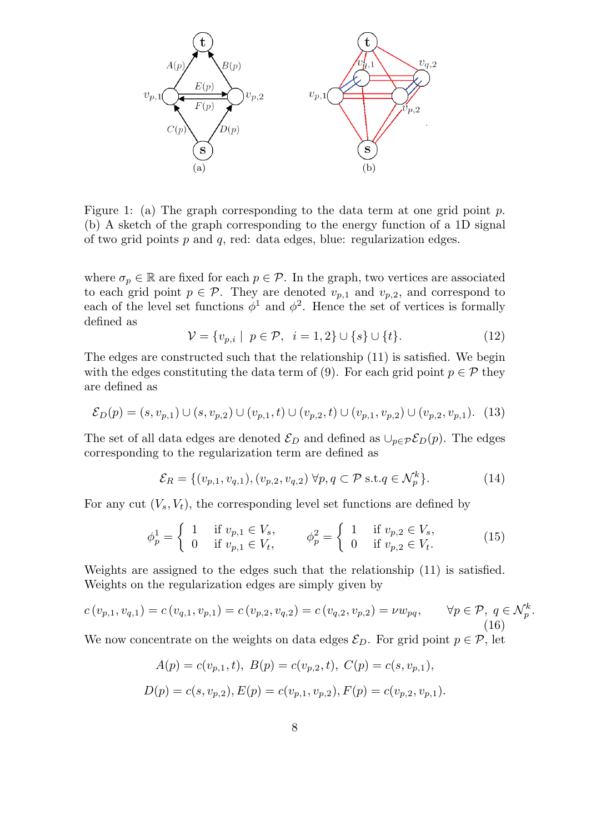

Figure 1: (a) The graph corresponding to the data term at one grid point  $p$ . (b) A sketch of the graph corresponding to the energy function of a 1D signal of two grid points  $p$  and  $q$ , red: data edges, blue: regularization edges.

where  $\sigma_p \in \mathbb{R}$  are fixed for each  $p \in \mathcal{P}$ . In the graph, two vertices are associated to each grid point  $p \in \mathcal{P}$ . They are denoted  $v_{p,1}$  and  $v_{p,2}$ , and correspond to each of the level set functions  $\phi^1$  and  $\phi^2$ . Hence the set of vertices is formally defined as

$$
\mathcal{V} = \{v_{p,i} \mid p \in \mathcal{P}, i = 1, 2\} \cup \{s\} \cup \{t\}.
$$
 (12)

The edges are constructed such that the relationship (11) is satisfied. We begin with the edges constituting the data term of (9). For each grid point  $p \in \mathcal{P}$  they are defined as

$$
\mathcal{E}_D(p) = (s, v_{p,1}) \cup (s, v_{p,2}) \cup (v_{p,1}, t) \cup (v_{p,2}, t) \cup (v_{p,1}, v_{p,2}) \cup (v_{p,2}, v_{p,1}). \tag{13}
$$

The set of all data edges are denoted  $\mathcal{E}_D$  and defined as  $\cup_{p \in \mathcal{P}} \mathcal{E}_D(p)$ . The edges corresponding to the regularization term are defined as

$$
\mathcal{E}_R = \{ (v_{p,1}, v_{q,1}), (v_{p,2}, v_{q,2}) \,\forall p, q \subset \mathcal{P} \text{ s.t.} q \in \mathcal{N}_p^k \}. \tag{14}
$$

For any cut  $(V_s, V_t)$ , the corresponding level set functions are defined by

$$
\phi_p^1 = \begin{cases} 1 & \text{if } v_{p,1} \in V_s, \\ 0 & \text{if } v_{p,1} \in V_t, \end{cases} \qquad \phi_p^2 = \begin{cases} 1 & \text{if } v_{p,2} \in V_s, \\ 0 & \text{if } v_{p,2} \in V_t. \end{cases} \tag{15}
$$

Weights are assigned to the edges such that the relationship (11) is satisfied. Weights on the regularization edges are simply given by

$$
c(v_{p,1}, v_{q,1}) = c(v_{q,1}, v_{p,1}) = c(v_{p,2}, v_{q,2}) = c(v_{q,2}, v_{p,2}) = \nu w_{pq}, \qquad \forall p \in \mathcal{P}, q \in \mathcal{N}_p^k.
$$
\n(16)

We now concentrate on the weights on data edges  $\mathcal{E}_D$ . For grid point  $p \in \mathcal{P}$ , let

$$
A(p) = c(v_{p,1}, t), B(p) = c(v_{p,2}, t), C(p) = c(s, v_{p,1}),
$$
  

$$
D(p) = c(s, v_{p,2}), E(p) = c(v_{p,1}, v_{p,2}), F(p) = c(v_{p,2}, v_{p,1}).
$$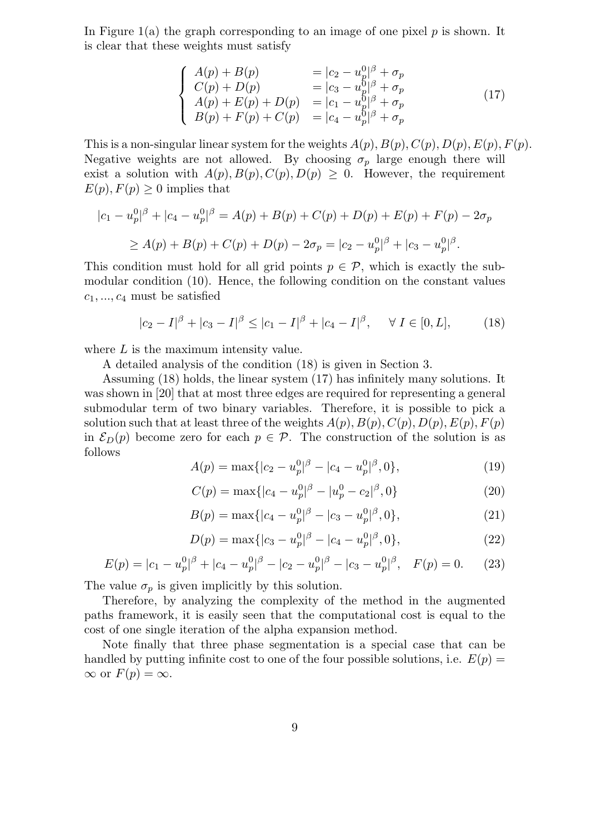In Figure 1(a) the graph corresponding to an image of one pixel  $p$  is shown. It is clear that these weights must satisfy

$$
\begin{cases}\nA(p) + B(p) &= |c_2 - u_p^0|^\beta + \sigma_p \\
C(p) + D(p) &= |c_3 - u_p^0|^\beta + \sigma_p \\
A(p) + E(p) + D(p) &= |c_1 - u_p^0|^\beta + \sigma_p \\
B(p) + F(p) + C(p) &= |c_4 - u_p^0|^\beta + \sigma_p\n\end{cases}
$$
\n(17)

This is a non-singular linear system for the weights  $A(p), B(p), C(p), D(p), E(p), F(p)$ . Negative weights are not allowed. By choosing  $\sigma_n$  large enough there will exist a solution with  $A(p), B(p), C(p), D(p) \geq 0$ . However, the requirement  $E(p), F(p) \geq 0$  implies that

$$
|c_1 - u_p^0|^\beta + |c_4 - u_p^0|^\beta = A(p) + B(p) + C(p) + D(p) + E(p) + F(p) - 2\sigma_p
$$
  
\n
$$
\ge A(p) + B(p) + C(p) + D(p) - 2\sigma_p = |c_2 - u_p^0|^\beta + |c_3 - u_p^0|^\beta.
$$

This condition must hold for all grid points  $p \in \mathcal{P}$ , which is exactly the submodular condition (10). Hence, the following condition on the constant values  $c_1, ..., c_4$  must be satisfied

$$
|c_2 - I|^{\beta} + |c_3 - I|^{\beta} \le |c_1 - I|^{\beta} + |c_4 - I|^{\beta}, \quad \forall I \in [0, L],
$$
 (18)

where  $L$  is the maximum intensity value.

A detailed analysis of the condition (18) is given in Section 3.

Assuming (18) holds, the linear system (17) has infinitely many solutions. It was shown in [20] that at most three edges are required for representing a general submodular term of two binary variables. Therefore, it is possible to pick a solution such that at least three of the weights  $A(p), B(p), C(p), D(p), E(p), F(p)$ in  $\mathcal{E}_D(p)$  become zero for each  $p \in \mathcal{P}$ . The construction of the solution is as follows

$$
A(p) = \max\{|c_2 - u_p^0|^\beta - |c_4 - u_p^0|^\beta, 0\},\tag{19}
$$

$$
C(p) = \max\{|c_4 - u_p^0|^\beta - |u_p^0 - c_2|^\beta, 0\}
$$
 (20)

$$
B(p) = \max\{|c_4 - u_p^0|^\beta - |c_3 - u_p^0|^\beta, 0\},\tag{21}
$$

$$
D(p) = \max\{|c_3 - u_p^0|^\beta - |c_4 - u_p^0|^\beta, 0\},\tag{22}
$$

$$
E(p) = |c_1 - u_p^0|^\beta + |c_4 - u_p^0|^\beta - |c_2 - u_p^0|^\beta - |c_3 - u_p^0|^\beta, \quad F(p) = 0.
$$
 (23)

The value  $\sigma_p$  is given implicitly by this solution.

Therefore, by analyzing the complexity of the method in the augmented paths framework, it is easily seen that the computational cost is equal to the cost of one single iteration of the alpha expansion method.

Note finally that three phase segmentation is a special case that can be handled by putting infinite cost to one of the four possible solutions, i.e.  $E(p)$  $\infty$  or  $F(p) = \infty$ .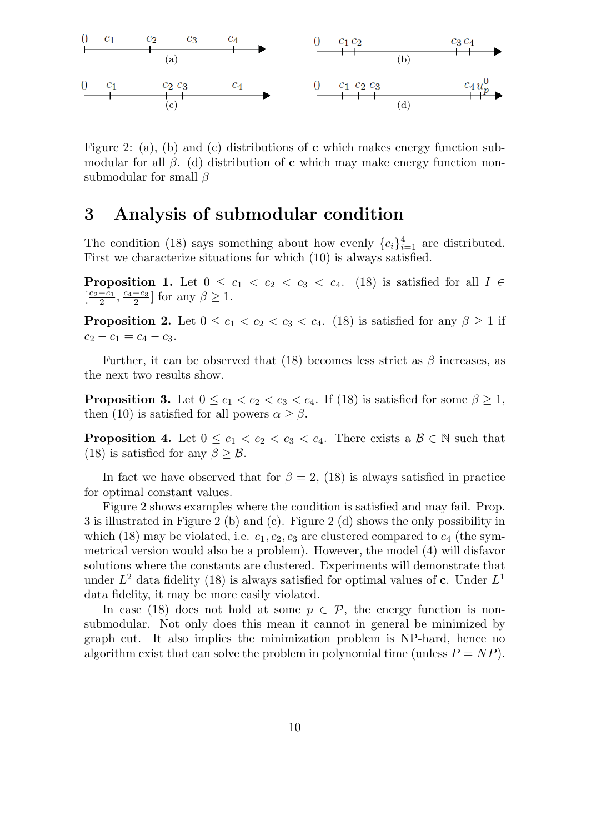

Figure 2: (a), (b) and (c) distributions of **c** which makes energy function submodular for all  $\beta$ . (d) distribution of **c** which may make energy function nonsubmodular for small  $\beta$ 

## **3 Analysis of submodular condition**

The condition (18) says something about how evenly  ${c_i}_{i=1}^4$  are distributed. First we characterize situations for which (10) is always satisfied.

**Proposition 1.** Let  $0 \leq c_1 < c_2 < c_3 < c_4$ . (18) is satisfied for all  $I \in$  $\left[\frac{c_2-c_1}{2}, \frac{c_4-c_3}{2}\right]$  for any  $\beta \ge 1$ .

**Proposition 2.** Let  $0 \leq c_1 \leq c_2 \leq c_3 \leq c_4$ . (18) is satisfied for any  $\beta \geq 1$  if  $c_2 - c_1 = c_4 - c_3.$ 

Further, it can be observed that (18) becomes less strict as  $\beta$  increases, as the next two results show.

**Proposition 3.** Let  $0 \leq c_1 < c_2 < c_3 < c_4$ . If (18) is satisfied for some  $\beta \geq 1$ , then (10) is satisfied for all powers  $\alpha \geq \beta$ .

**Proposition 4.** Let  $0 \leq c_1 < c_2 < c_3 < c_4$ . There exists a  $\mathcal{B} \in \mathbb{N}$  such that (18) is satisfied for any  $\beta > \mathcal{B}$ .

In fact we have observed that for  $\beta = 2$ , (18) is always satisfied in practice for optimal constant values.

Figure 2 shows examples where the condition is satisfied and may fail. Prop. 3 is illustrated in Figure 2 (b) and (c). Figure 2 (d) shows the only possibility in which (18) may be violated, i.e.  $c_1, c_2, c_3$  are clustered compared to  $c_4$  (the symmetrical version would also be a problem). However, the model (4) will disfavor solutions where the constants are clustered. Experiments will demonstrate that under  $L^2$  data fidelity (18) is always satisfied for optimal values of **c**. Under  $L^1$ data fidelity, it may be more easily violated.

In case (18) does not hold at some  $p \in \mathcal{P}$ , the energy function is nonsubmodular. Not only does this mean it cannot in general be minimized by graph cut. It also implies the minimization problem is NP-hard, hence no algorithm exist that can solve the problem in polynomial time (unless  $P = NP$ ).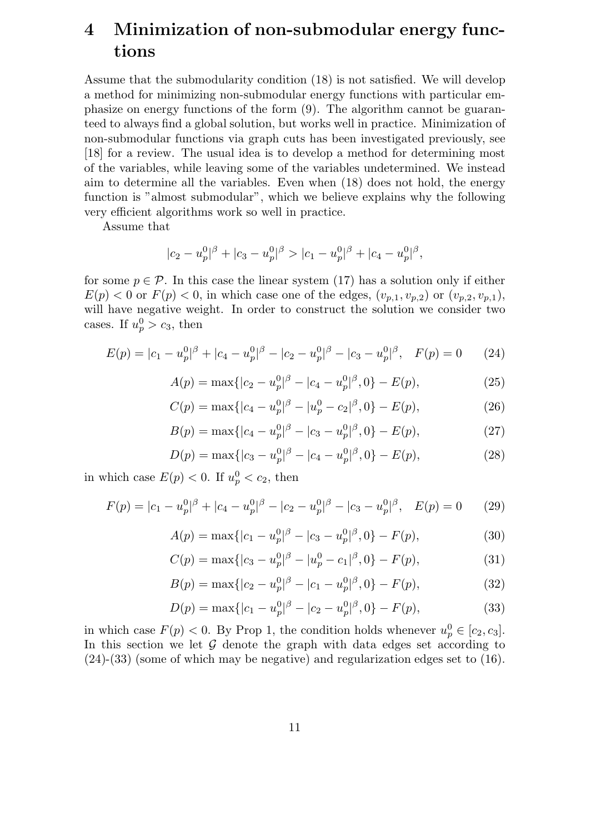# **4 Minimization of non-submodular energy functions**

Assume that the submodularity condition (18) is not satisfied. We will develop a method for minimizing non-submodular energy functions with particular emphasize on energy functions of the form (9). The algorithm cannot be guaranteed to always find a global solution, but works well in practice. Minimization of non-submodular functions via graph cuts has been investigated previously, see [18] for a review. The usual idea is to develop a method for determining most of the variables, while leaving some of the variables undetermined. We instead aim to determine all the variables. Even when (18) does not hold, the energy function is "almost submodular", which we believe explains why the following very efficient algorithms work so well in practice.

Assume that

$$
|c_2 - u_p^0|^{\beta} + |c_3 - u_p^0|^{\beta} > |c_1 - u_p^0|^{\beta} + |c_4 - u_p^0|^{\beta},
$$

for some  $p \in \mathcal{P}$ . In this case the linear system (17) has a solution only if either  $E(p) < 0$  or  $F(p) < 0$ , in which case one of the edges,  $(v_{p,1}, v_{p,2})$  or  $(v_{p,2}, v_{p,1}),$ will have negative weight. In order to construct the solution we consider two cases. If  $u_p^0 > c_3$ , then

$$
E(p) = |c_1 - u_p^0|^\beta + |c_4 - u_p^0|^\beta - |c_2 - u_p^0|^\beta - |c_3 - u_p^0|^\beta, \quad F(p) = 0 \tag{24}
$$

$$
A(p) = \max\{|c_2 - u_p^0|^{\beta} - |c_4 - u_p^0|^{\beta}, 0\} - E(p),\tag{25}
$$

$$
C(p) = \max\{|c_4 - u_p^0|^\beta - |u_p^0 - c_2|^\beta, 0\} - E(p),\tag{26}
$$

$$
B(p) = \max\{|c_4 - u_p^0|^{\beta} - |c_3 - u_p^0|^{\beta}, 0\} - E(p),\tag{27}
$$

$$
D(p) = \max\{|c_3 - u_p^0|^{\beta} - |c_4 - u_p^0|^{\beta}, 0\} - E(p),\tag{28}
$$

in which case  $E(p) < 0$ . If  $u_p^0 < c_2$ , then

$$
F(p) = |c_1 - u_p^0|^\beta + |c_4 - u_p^0|^\beta - |c_2 - u_p^0|^\beta - |c_3 - u_p^0|^\beta, \quad E(p) = 0 \tag{29}
$$

$$
A(p) = \max\{|c_1 - u_p^0|^\beta - |c_3 - u_p^0|^\beta, 0\} - F(p),\tag{30}
$$

$$
C(p) = \max\{|c_3 - u_p^0|^\beta - |u_p^0 - c_1|^\beta, 0\} - F(p),\tag{31}
$$

$$
B(p) = \max\{|c_2 - u_p^0|^{\beta} - |c_1 - u_p^0|^{\beta}, 0\} - F(p),\tag{32}
$$

$$
D(p) = \max\{|c_1 - u_p^0|^\beta - |c_2 - u_p^0|^\beta, 0\} - F(p),\tag{33}
$$

in which case  $F(p) < 0$ . By Prop 1, the condition holds whenever  $u_p^0 \in [c_2, c_3]$ . In this section we let  $G$  denote the graph with data edges set according to (24)-(33) (some of which may be negative) and regularization edges set to (16).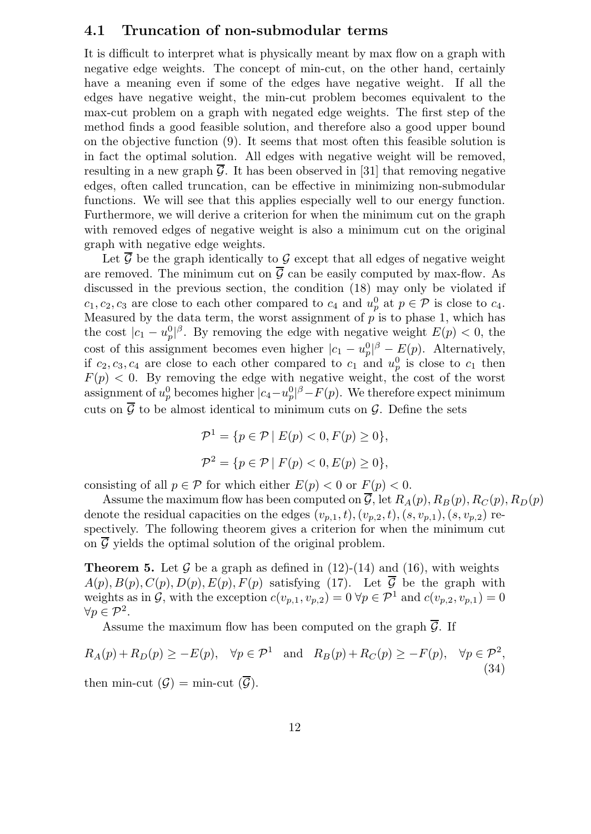### **4.1 Truncation of non-submodular terms**

It is difficult to interpret what is physically meant by max flow on a graph with negative edge weights. The concept of min-cut, on the other hand, certainly have a meaning even if some of the edges have negative weight. If all the edges have negative weight, the min-cut problem becomes equivalent to the max-cut problem on a graph with negated edge weights. The first step of the method finds a good feasible solution, and therefore also a good upper bound on the objective function (9). It seems that most often this feasible solution is in fact the optimal solution. All edges with negative weight will be removed, resulting in a new graph  $\overline{G}$ . It has been observed in [31] that removing negative edges, often called truncation, can be effective in minimizing non-submodular functions. We will see that this applies especially well to our energy function. Furthermore, we will derive a criterion for when the minimum cut on the graph with removed edges of negative weight is also a minimum cut on the original graph with negative edge weights.

Let  $\overline{\mathcal{G}}$  be the graph identically to  $\mathcal{G}$  except that all edges of negative weight are removed. The minimum cut on  $\overline{G}$  can be easily computed by max-flow. As discussed in the previous section, the condition (18) may only be violated if  $c_1, c_2, c_3$  are close to each other compared to  $c_4$  and  $u_p^0$  at  $p \in \mathcal{P}$  is close to  $c_4$ . Measured by the data term, the worst assignment of  $p$  is to phase 1, which has the cost  $|c_1 - u_p^0|$ . By removing the edge with negative weight  $E(p) < 0$ , the cost of this assignment becomes even higher  $|c_1 - u_p^0|^\beta - E(p)$ . Alternatively, if  $c_2, c_3, c_4$  are close to each other compared to  $c_1$  and  $u_p^0$  is close to  $c_1$  then  $F(p) < 0$ . By removing the edge with negative weight, the cost of the worst assignment of  $u_p^0$  becomes higher  $|c_4 - u_p^0|^\beta - F(p)$ . We therefore expect minimum cuts on  $\overline{\mathcal{G}}$  to be almost identical to minimum cuts on  $\mathcal{G}$ . Define the sets

$$
\mathcal{P}^1 = \{ p \in \mathcal{P} \mid E(p) < 0, F(p) \ge 0 \},
$$
\n
$$
\mathcal{P}^2 = \{ p \in \mathcal{P} \mid F(p) < 0, E(p) \ge 0 \},
$$

consisting of all  $p \in \mathcal{P}$  for which either  $E(p) < 0$  or  $F(p) < 0$ .

Assume the maximum flow has been computed on  $\overline{\mathcal{G}}$ , let  $R_A(p), R_B(p), R_C(p), R_D(p)$ denote the residual capacities on the edges  $(v_{p,1}, t), (v_{p,2}, t), (s, v_{p,1}), (s, v_{p,2})$  respectively. The following theorem gives a criterion for when the minimum cut on  $\overline{\mathcal{G}}$  yields the optimal solution of the original problem.

**Theorem 5.** Let  $\mathcal G$  be a graph as defined in (12)-(14) and (16), with weights  $A(p), B(p), C(p), D(p), E(p), F(p)$  satisfying (17). Let  $\overline{\mathcal{G}}$  be the graph with weights as in  $\mathcal{G}$ , with the exception  $c(v_{p,1}, v_{p,2})=0 \ \forall p \in \mathcal{P}^1$  and  $c(v_{p,2}, v_{p,1})=0$  $\forall p \in \mathcal{P}^2$ .

Assume the maximum flow has been computed on the graph  $\overline{G}$ . If

$$
R_A(p) + R_D(p) \ge -E(p), \quad \forall p \in \mathcal{P}^1 \quad \text{and} \quad R_B(p) + R_C(p) \ge -F(p), \quad \forall p \in \mathcal{P}^2,
$$
  
then min cut (C) min cut ( $\overline{C}$ )

then min-cut  $(\mathcal{G}) = \min$ -cut  $(\mathcal{G})$ .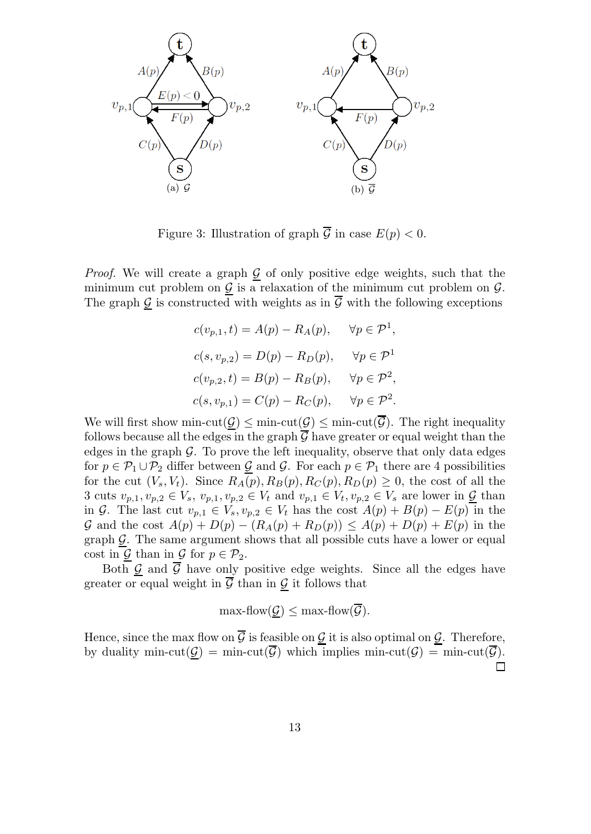

Figure 3: Illustration of graph  $\overline{\mathcal{G}}$  in case  $E(p) < 0$ .

*Proof.* We will create a graph  $\mathcal{G}$  of only positive edge weights, such that the minimum cut problem on  $G$  is a relaxation of the minimum cut problem on  $G$ . The graph  $\underline{\mathcal{G}}$  is constructed with weights as in  $\overline{\mathcal{G}}$  with the following exceptions

$$
c(v_{p,1}, t) = A(p) - R_A(p), \quad \forall p \in \mathcal{P}^1,
$$
  
\n
$$
c(s, v_{p,2}) = D(p) - R_D(p), \quad \forall p \in \mathcal{P}^1
$$
  
\n
$$
c(v_{p,2}, t) = B(p) - R_B(p), \quad \forall p \in \mathcal{P}^2,
$$
  
\n
$$
c(s, v_{p,1}) = C(p) - R_C(p), \quad \forall p \in \mathcal{P}^2.
$$

We will first show min-cut( $\mathcal{G}$ )  $\leq$  min-cut( $\mathcal{G}$ )  $\leq$  min-cut( $\mathcal{G}$ ). The right inequality follows because all the edges in the graph  $\mathcal G$  have greater or equal weight than the edges in the graph  $\mathcal G$ . To prove the left inequality, observe that only data edges for  $p \in \mathcal{P}_1 \cup \mathcal{P}_2$  differ between G and G. For each  $p \in \mathcal{P}_1$  there are 4 possibilities for the cut  $(V_s, V_t)$ . Since  $R_A(p), R_B(p), R_C(p), R_D(p) \geq 0$ , the cost of all the 3 cuts  $v_{p,1}, v_{p,2} \in V_s$ ,  $v_{p,1}, v_{p,2} \in V_t$  and  $v_{p,1} \in V_t$ ,  $v_{p,2} \in V_s$  are lower in  $\underline{\mathcal{G}}$  than in G. The last cut  $v_{p,1} \in V_s$ ,  $v_{p,2} \in V_t$  has the cost  $A(p) + B(p) - E(p)$  in the G and the cost  $A(p) + D(p) - (R_A(p) + R_D(p)) \leq A(p) + D(p) + E(p)$  in the graph  $\mathcal{G}$ . The same argument shows that all possible cuts have a lower or equal cost in  $\mathcal{G}$  than in  $\mathcal{G}$  for  $p \in \mathcal{P}_2$ .

Both  $\mathcal{G}$  and  $\overline{\mathcal{G}}$  have only positive edge weights. Since all the edges have greater or equal weight in  $\overline{\mathcal{G}}$  than in  $\underline{\mathcal{G}}$  it follows that

$$
\max\text{-flow}(\mathcal{G}) \leq \max\text{-flow}(\overline{\mathcal{G}}).
$$

Hence, since the max flow on  $\overline{\mathcal{G}}$  is feasible on  $\mathcal{G}$  it is also optimal on  $\mathcal{G}$ . Therefore, by duality min-cut( $G$ ) = min-cut( $\overline{G}$ ) which implies min-cut( $G$ ) = min-cut( $\overline{G}$ ). □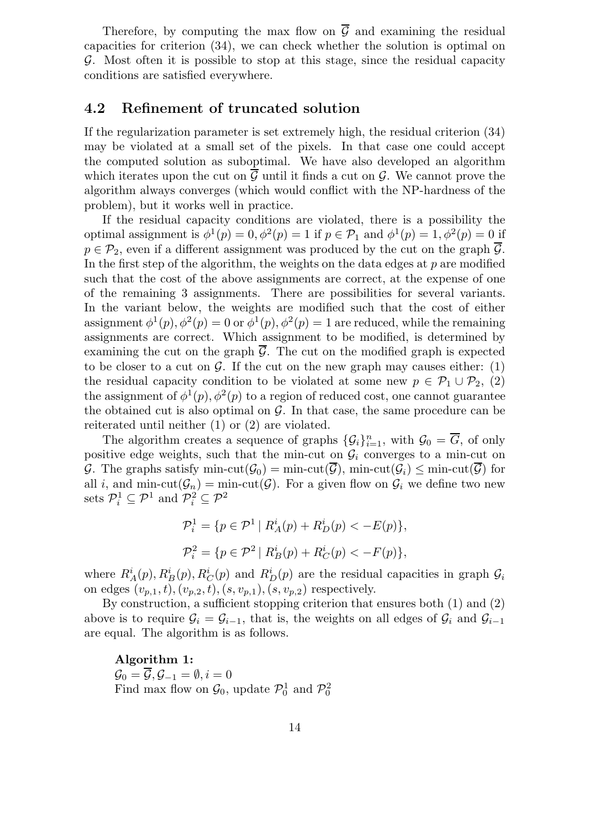Therefore, by computing the max flow on  $\overline{G}$  and examining the residual capacities for criterion (34), we can check whether the solution is optimal on G. Most often it is possible to stop at this stage, since the residual capacity conditions are satisfied everywhere.

### **4.2 Refinement of truncated solution**

If the regularization parameter is set extremely high, the residual criterion (34) may be violated at a small set of the pixels. In that case one could accept the computed solution as suboptimal. We have also developed an algorithm which iterates upon the cut on  $G$  until it finds a cut on  $G$ . We cannot prove the algorithm always converges (which would conflict with the NP-hardness of the problem), but it works well in practice.

If the residual capacity conditions are violated, there is a possibility the optimal assignment is  $\phi^1(p) = 0, \phi^2(p) = 1$  if  $p \in \mathcal{P}_1$  and  $\phi^1(p) = 1, \phi^2(p) = 0$  if  $p \in \mathcal{P}_2$ , even if a different assignment was produced by the cut on the graph  $\overline{\mathcal{G}}$ . In the first step of the algorithm, the weights on the data edges at  $p$  are modified such that the cost of the above assignments are correct, at the expense of one of the remaining 3 assignments. There are possibilities for several variants. In the variant below, the weights are modified such that the cost of either assignment  $\phi^1(p), \phi^2(p) = 0$  or  $\phi^1(p), \phi^2(p) = 1$  are reduced, while the remaining assignments are correct. Which assignment to be modified, is determined by examining the cut on the graph  $\overline{G}$ . The cut on the modified graph is expected to be closer to a cut on  $\mathcal G$ . If the cut on the new graph may causes either: (1) the residual capacity condition to be violated at some new  $p \in \mathcal{P}_1 \cup \mathcal{P}_2$ , (2) the assignment of  $\phi^1(p), \phi^2(p)$  to a region of reduced cost, one cannot guarantee the obtained cut is also optimal on  $G$ . In that case, the same procedure can be reiterated until neither (1) or (2) are violated.

The algorithm creates a sequence of graphs  $\{\mathcal{G}_i\}_{i=1}^n$ , with  $\mathcal{G}_0 = \overline{G}$ , of only positive edge weights, such that the min-cut on  $\mathcal{G}_i$  converges to a min-cut on G. The graphs satisfy min-cut( $\mathcal{G}_0$ ) = min-cut( $\mathcal{G}_1$ ), min-cut( $\mathcal{G}_i$ )  $\leq$  min-cut( $\mathcal{G}_1$ ) for all i, and min-cut $(\mathcal{G}_n)$  = min-cut( $\mathcal{G}_i$ ). For a given flow on  $\mathcal{G}_i$  we define two new sets  $\mathcal{P}_i^1 \subseteq \mathcal{P}^1$  and  $\mathcal{P}_i^2 \subseteq \mathcal{P}^2$ 

$$
\mathcal{P}_i^1 = \{ p \in \mathcal{P}^1 \mid R_A^i(p) + R_D^i(p) < -E(p) \},
$$
\n
$$
\mathcal{P}_i^2 = \{ p \in \mathcal{P}^2 \mid R_B^i(p) + R_C^i(p) < -F(p) \},
$$

where  $R_A^i(p), R_B^i(p), R_C^i(p)$  and  $R_D^i(p)$  are the residual capacities in graph  $\mathcal{G}_i$ on edges  $(v_{p,1}, t), (v_{p,2}, t), (s, v_{p,1}), (s, v_{p,2})$  respectively.

By construction, a sufficient stopping criterion that ensures both (1) and (2) above is to require  $G_i = G_{i-1}$ , that is, the weights on all edges of  $G_i$  and  $G_{i-1}$ are equal. The algorithm is as follows.

 $\mathcal{G}_0 = \overline{\mathcal{G}}, \mathcal{G}_{-1} = \emptyset, i = 0$ Find max flow on  $\mathcal{G}_0$ , update  $\mathcal{P}_0^1$  and  $\mathcal{P}_0^2$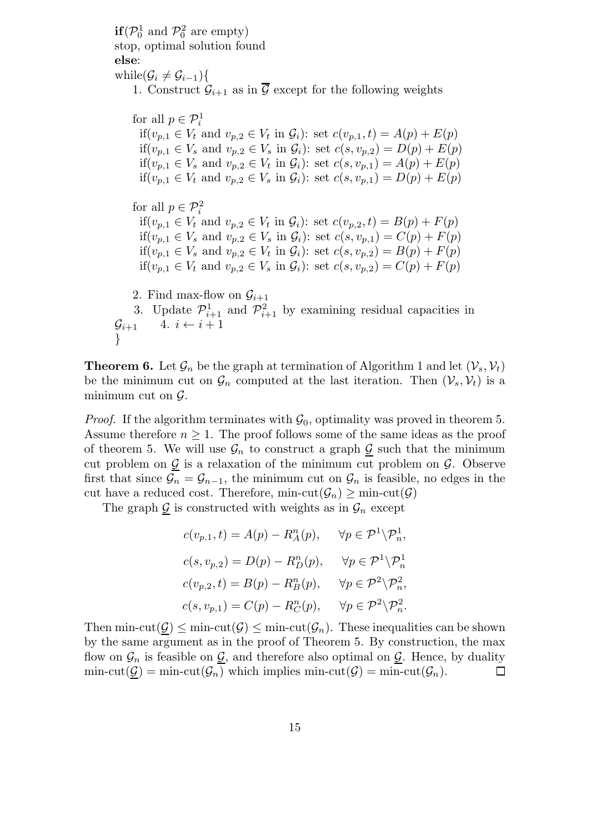**if**( $\mathcal{P}_0^1$  and  $\mathcal{P}_0^2$  are empty)<br>stop, optimal solution for stop, optimal solution found **else**:

}

while $(\mathcal{G}_i \neq \mathcal{G}_{i-1})$ { 1. Construct  $\mathcal{G}_{i+1}$  as in  $\overline{\mathcal{G}}$  except for the following weights

for all  $p \in \mathcal{P}^1_i$ if( $v_{p,1} \in V_t$  and  $v_{p,2} \in V_t$  in  $\mathcal{G}_i$ ): set  $c(v_{p,1}, t) = A(p) + E(p)$ if $(v_{p,1} \in V_s \text{ and } v_{p,2} \in V_s \text{ in } \mathcal{G}_i)$ : set  $c(s, v_{p,2}) = D(p) + E(p)$ if $(v_{p,1} \in V_s \text{ and } v_{p,2} \in V_t \text{ in } \mathcal{G}_i): \text{ set } c(s, v_{p,1}) = A(p) + E(p)$ if $(v_{p,1} \in V_t \text{ and } v_{p,2} \in V_s \text{ in } \mathcal{G}_i)$ : set  $c(s, v_{p,1}) = D(p) + E(p)$ for all  $p \in \mathcal{P}^2_i$ if( $v_{p,1} \in V_t$  and  $v_{p,2} \in V_t$  in  $\mathcal{G}_i$ ): set  $c(v_{p,2}, t) = B(p) + F(p)$ if( $v_{n,1} \in V_s$  and  $v_{n,2} \in V_s$  in  $\mathcal{G}_i$ ): set  $c(s, v_{n,1}) = C(p) + F(p)$ if( $v_{p,1} \in V_s$  and  $v_{p,2} \in V_t$  in  $\mathcal{G}_i$ ): set  $c(s, v_{p,2}) = B(p) + F(p)$ if $(v_{p,1} \in V_t$  and  $v_{p,2} \in V_s$  in  $\mathcal{G}_i$ ): set  $c(s, v_{p,2}) = C(p) + F(p)$ 2. Find max-flow on  $\mathcal{G}_{i+1}$ 3. Update  $\mathcal{P}_{i+1}^1$  and  $\mathcal{P}_{i+1}^2$  by examining residual capacities in  $\mathcal{G}_{i+1}$  4.  $i \leftarrow i+1$ 

**Theorem 6.** Let  $\mathcal{G}_n$  be the graph at termination of Algorithm 1 and let  $(\mathcal{V}_s, \mathcal{V}_t)$ be the minimum cut on  $\mathcal{G}_n$  computed at the last iteration. Then  $(\mathcal{V}_s, \mathcal{V}_t)$  is a minimum cut on  $\mathcal{G}$ .

*Proof.* If the algorithm terminates with  $\mathcal{G}_0$ , optimality was proved in theorem 5. Assume therefore  $n \geq 1$ . The proof follows some of the same ideas as the proof of theorem 5. We will use  $\mathcal{G}_n$  to construct a graph  $\mathcal G$  such that the minimum cut problem on  $\underline{G}$  is a relaxation of the minimum cut problem on  $\mathcal{G}$ . Observe first that since  $\mathcal{G}_n = \mathcal{G}_{n-1}$ , the minimum cut on  $\mathcal{G}_n$  is feasible, no edges in the cut have a reduced cost. Therefore, min-cut( $\mathcal{G}_n$ )  $\geq$  min-cut( $\mathcal{G}$ )

The graph  $\mathcal{G}$  is constructed with weights as in  $\mathcal{G}_n$  except

$$
c(v_{p,1}, t) = A(p) - R_A^n(p), \quad \forall p \in \mathcal{P}^1 \backslash \mathcal{P}_n^1,
$$
  
\n
$$
c(s, v_{p,2}) = D(p) - R_D^n(p), \quad \forall p \in \mathcal{P}^1 \backslash \mathcal{P}_n^1
$$
  
\n
$$
c(v_{p,2}, t) = B(p) - R_B^n(p), \quad \forall p \in \mathcal{P}^2 \backslash \mathcal{P}_n^2,
$$
  
\n
$$
c(s, v_{p,1}) = C(p) - R_C^n(p), \quad \forall p \in \mathcal{P}^2 \backslash \mathcal{P}_n^2.
$$

Then min-cut $(\mathcal{G}) \leq \min\text{-cut}(\mathcal{G}) \leq \min\text{-cut}(\mathcal{G}_n)$ . These inequalities can be shown by the same argument as in the proof of Theorem 5. By construction, the max flow on  $\mathcal{G}_n$  is feasible on  $\mathcal{G}$ , and therefore also optimal on  $\mathcal{G}$ . Hence, by duality  $\min\text{-cut}(\mathcal{G}) = \min\text{-cut}(\mathcal{G}_n)$  which implies  $\min\text{-cut}(\mathcal{G}) = \min\text{-cut}(\mathcal{G}_n)$ .  $\Box$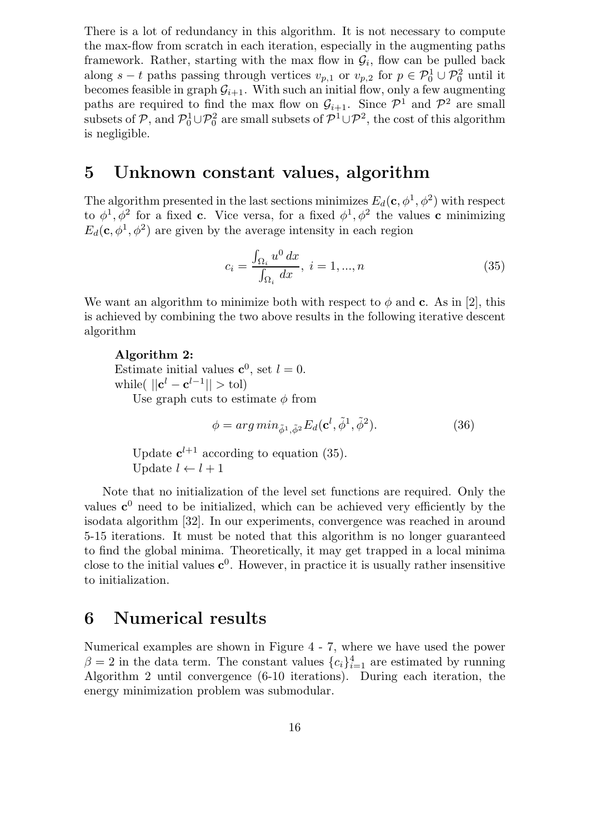There is a lot of redundancy in this algorithm. It is not necessary to compute the max-flow from scratch in each iteration, especially in the augmenting paths framework. Rather, starting with the max flow in  $\mathcal{G}_i$ , flow can be pulled back along  $s-t$  paths passing through vertices  $v_{p,1}$  or  $v_{p,2}$  for  $p \in \mathcal{P}_0^1 \cup \mathcal{P}_0^2$  until it becomes feasible in graph  $G_{i+1}$ . With such an initial flow, only a few augmenting paths are required to find the max flow on  $\mathcal{G}_{i+1}$ . Since  $\mathcal{P}^1$  and  $\mathcal{P}^2$  are small subsets of  $P$ , and  $P_0^1 \cup P_0^2$  are small subsets of  $P_0^1 \cup P_0^2$ , the cost of this algorithm is negligible.

## **5 Unknown constant values, algorithm**

The algorithm presented in the last sections minimizes  $E_d(\mathbf{c}, \phi^1, \phi^2)$  with respect to  $\phi^1$ ,  $\phi^2$  for a fixed **c**. Vice versa, for a fixed  $\phi^1$ ,  $\phi^2$  the values **c** minimizing  $E_d(\mathbf{c}, \phi^1, \phi^2)$  are given by the average intensity in each region

$$
c_i = \frac{\int_{\Omega_i} u^0 dx}{\int_{\Omega_i} dx}, \ i = 1, ..., n
$$
\n(35)

We want an algorithm to minimize both with respect to  $\phi$  and **c**. As in [2], this is achieved by combining the two above results in the following iterative descent algorithm

Estimate initial values  $\mathbf{c}^0$ , set  $l = 0$ .<br>while  $\left( \begin{array}{c} ||\mathbf{c}^l - \mathbf{c}^{l-1}|| > \text{tol} \end{array} \right)$ while(  $||\mathbf{c}^l - \mathbf{c}^{l-1}|| > \text{tol}$ ) Use graph cuts to estimate  $\phi$  from

 $\phi = arg min_{\tilde{\phi}^1, \tilde{\phi}^2} E_d(\mathbf{c}^l, \tilde{\phi}^1, \tilde{\phi}^2).$  (36)

Update  $c^{l+1}$  according to equation (35). Update  $l \leftarrow l + 1$ 

Note that no initialization of the level set functions are required. Only the values  $c^0$  need to be initialized, which can be achieved very efficiently by the isodata algorithm [32]. In our experiments, convergence was reached in around 5-15 iterations. It must be noted that this algorithm is no longer guaranteed to find the global minima. Theoretically, it may get trapped in a local minima close to the initial values  $c^0$ . However, in practice it is usually rather insensitive to initialization.

## **6 Numerical results**

Numerical examples are shown in Figure 4 - 7, where we have used the power  $\beta = 2$  in the data term. The constant values  ${c_i}_{i=1}^4$  are estimated by running Algorithm 2 until convergence (6-10 iterations). During each iteration, the energy minimization problem was submodular.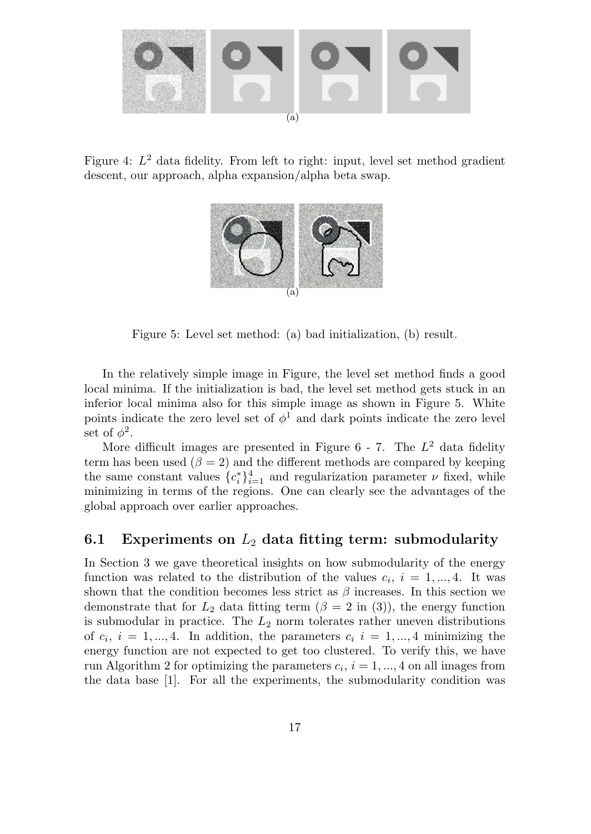

Figure 4:  $L^2$  data fidelity. From left to right: input, level set method gradient descent, our approach, alpha expansion/alpha beta swap.



Figure 5: Level set method: (a) bad initialization, (b) result.

In the relatively simple image in Figure, the level set method finds a good local minima. If the initialization is bad, the level set method gets stuck in an inferior local minima also for this simple image as shown in Figure 5. White points indicate the zero level set of  $\phi^1$  and dark points indicate the zero level set of  $\phi^2$ .

More difficult images are presented in Figure  $6$  - 7. The  $L^2$  data fidelity term has been used ( $\beta = 2$ ) and the different methods are compared by keeping the same constant values  $\{c_i^*\}_{i=1}^4$  and regularization parameter  $\nu$  fixed, while minimizing in terms of the regions. One can clearly see the advantages of the global approach over earlier approaches.

### **6.1 Experiments on** <sup>L</sup>2 **data fitting term: submodularity**

In Section 3 we gave theoretical insights on how submodularity of the energy function was related to the distribution of the values  $c_i, i = 1, ..., 4$ . It was shown that the condition becomes less strict as  $\beta$  increases. In this section we demonstrate that for  $L_2$  data fitting term  $(\beta = 2 \text{ in } (3))$ , the energy function is submodular in practice. The  $L_2$  norm tolerates rather uneven distributions of  $c_i$ ,  $i = 1, ..., 4$ . In addition, the parameters  $c_i$   $i = 1, ..., 4$  minimizing the energy function are not expected to get too clustered. To verify this, we have run Algorithm 2 for optimizing the parameters  $c_i$ ,  $i = 1, ..., 4$  on all images from the data base [1]. For all the experiments, the submodularity condition was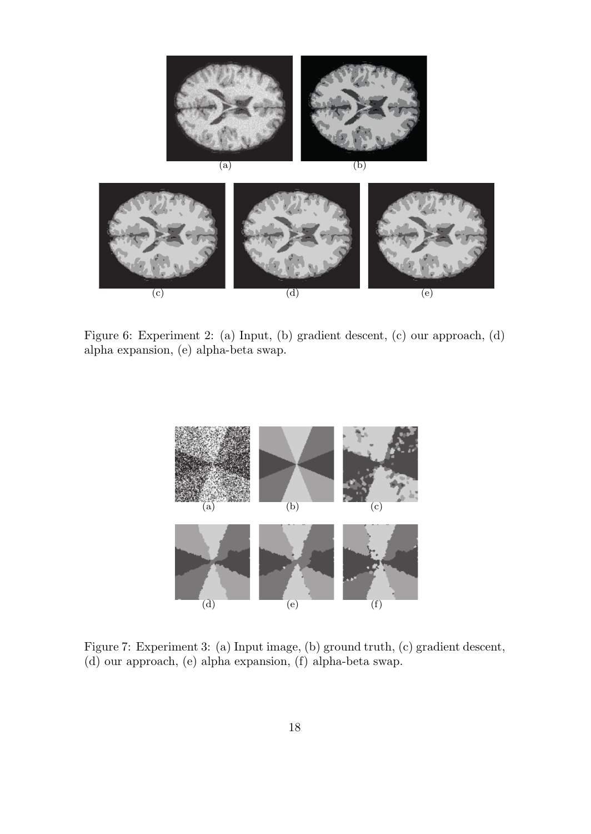

Figure 6: Experiment 2: (a) Input, (b) gradient descent, (c) our approach, (d) alpha expansion, (e) alpha-beta swap.

 $\begin{pmatrix} 0 \\ 0 \end{pmatrix}$ 



Figure 7: Experiment 3: (a) Input image, (b) ground truth, (c) gradient descent, (d) our approach, (e) alpha expansion, (f) alpha-beta swap.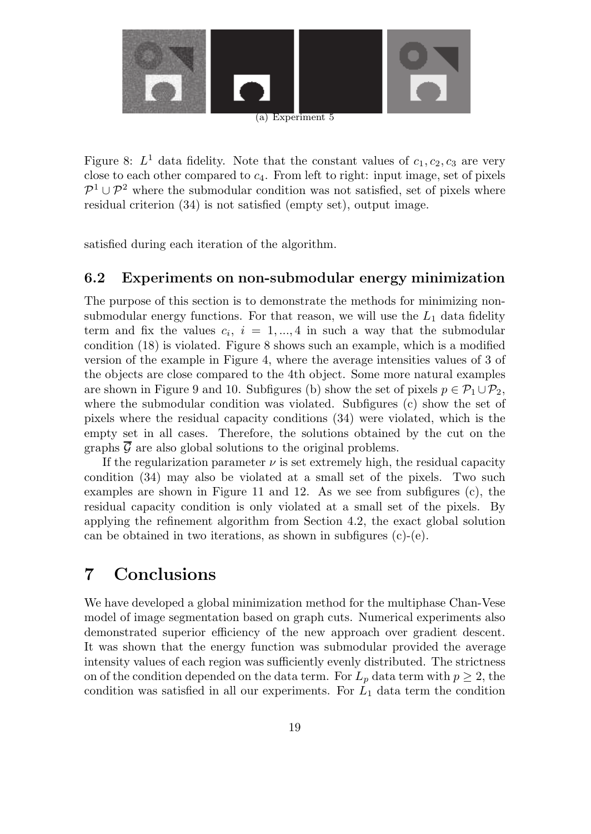

Figure 8:  $L^1$  data fidelity. Note that the constant values of  $c_1, c_2, c_3$  are very close to each other compared to  $c_4$ . From left to right: input image, set of pixels  $\mathcal{P}^1 \cup \mathcal{P}^2$  where the submodular condition was not satisfied, set of pixels where residual criterion (34) is not satisfied (empty set), output image.

satisfied during each iteration of the algorithm.

### **6.2 Experiments on non-submodular energy minimization**

The purpose of this section is to demonstrate the methods for minimizing nonsubmodular energy functions. For that reason, we will use the  $L_1$  data fidelity term and fix the values  $c_i$ ,  $i = 1, ..., 4$  in such a way that the submodular condition (18) is violated. Figure 8 shows such an example, which is a modified version of the example in Figure 4, where the average intensities values of 3 of the objects are close compared to the 4th object. Some more natural examples are shown in Figure 9 and 10. Subfigures (b) show the set of pixels  $p \in \mathcal{P}_1 \cup \mathcal{P}_2$ , where the submodular condition was violated. Subfigures (c) show the set of pixels where the residual capacity conditions (34) were violated, which is the empty set in all cases. Therefore, the solutions obtained by the cut on the graphs  $\mathcal G$  are also global solutions to the original problems.

If the regularization parameter  $\nu$  is set extremely high, the residual capacity condition (34) may also be violated at a small set of the pixels. Two such examples are shown in Figure 11 and 12. As we see from subfigures (c), the residual capacity condition is only violated at a small set of the pixels. By applying the refinement algorithm from Section 4.2, the exact global solution can be obtained in two iterations, as shown in subfigures (c)-(e).

## **7 Conclusions**

We have developed a global minimization method for the multiphase Chan-Vese model of image segmentation based on graph cuts. Numerical experiments also demonstrated superior efficiency of the new approach over gradient descent. It was shown that the energy function was submodular provided the average intensity values of each region was sufficiently evenly distributed. The strictness on of the condition depended on the data term. For  $L_p$  data term with  $p \geq 2$ , the condition was satisfied in all our experiments. For  $L_1$  data term the condition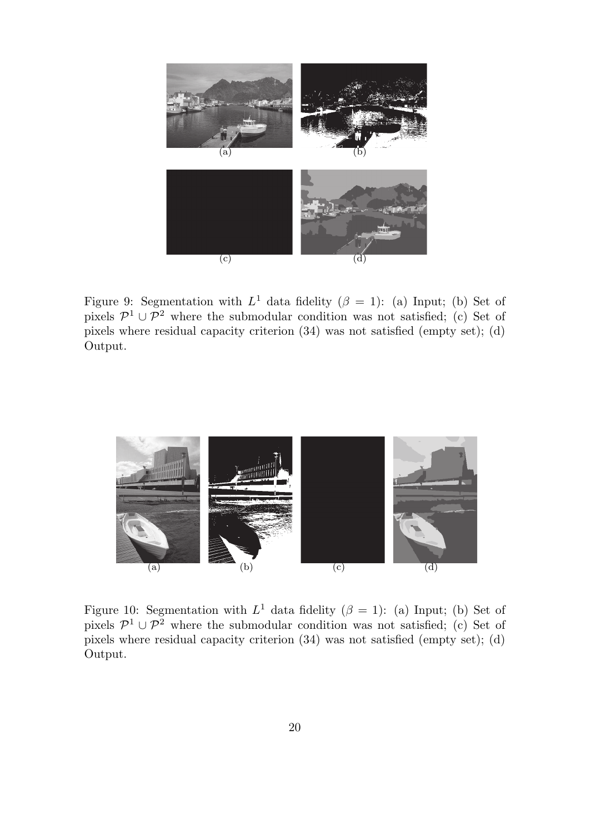

Figure 9: Segmentation with  $L^1$  data fidelity  $(\beta = 1)$ : (a) Input; (b) Set of pixels  $\mathcal{P}^1 \cup \mathcal{P}^2$  where the submodular condition was not satisfied; (c) Set of pixels where residual capacity criterion (34) was not satisfied (empty set); (d) Output.



Figure 10: Segmentation with  $L^1$  data fidelity ( $\beta = 1$ ): (a) Input; (b) Set of pixels  $\mathcal{P}^1 \cup \mathcal{P}^2$  where the submodular condition was not satisfied; (c) Set of pixels where residual capacity criterion (34) was not satisfied (empty set); (d) Output.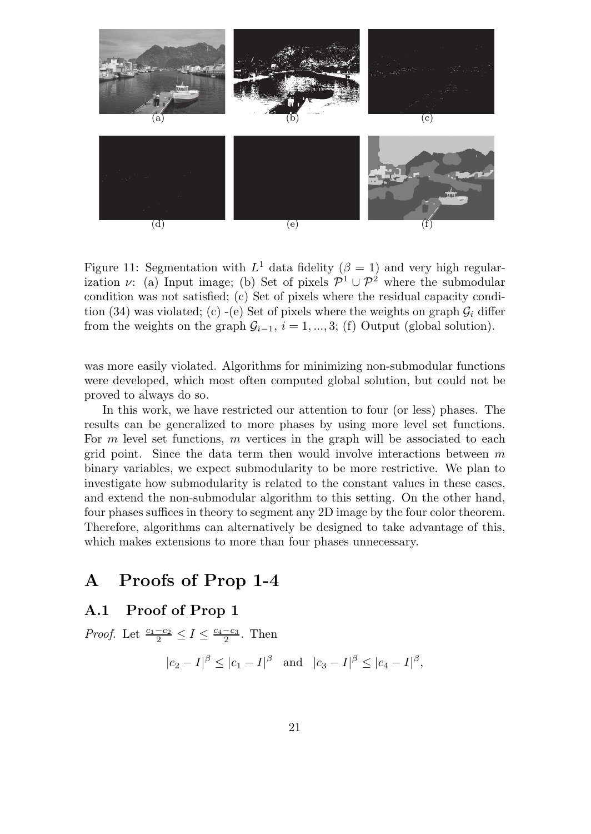

Figure 11: Segmentation with  $L^1$  data fidelity ( $\beta = 1$ ) and very high regularization  $\nu$ : (a) Input image; (b) Set of pixels  $\mathcal{P}^1 \cup \mathcal{P}^2$  where the submodular condition was not satisfied; (c) Set of pixels where the residual capacity condition (34) was violated; (c) -(e) Set of pixels where the weights on graph  $G_i$  differ from the weights on the graph  $\mathcal{G}_{i-1}$ ,  $i = 1, ..., 3$ ; (f) Output (global solution).

was more easily violated. Algorithms for minimizing non-submodular functions were developed, which most often computed global solution, but could not be proved to always do so.

In this work, we have restricted our attention to four (or less) phases. The results can be generalized to more phases by using more level set functions. For m level set functions, m vertices in the graph will be associated to each grid point. Since the data term then would involve interactions between  $m$ binary variables, we expect submodularity to be more restrictive. We plan to investigate how submodularity is related to the constant values in these cases, and extend the non-submodular algorithm to this setting. On the other hand, four phases suffices in theory to segment any 2D image by the four color theorem. Therefore, algorithms can alternatively be designed to take advantage of this, which makes extensions to more than four phases unnecessary.

## **A Proofs of Prop 1-4**

### **A.1 Proof of Prop 1**

*Proof.* Let  $\frac{c_1-c_2}{2} \leq I \leq \frac{c_4-c_3}{2}$ . Then  $|c_2 - I|^{\beta} \leq |c_1 - I|^{\beta}$  and  $|c_3 - I|^{\beta} \leq |c_4 - I|^{\beta}$ ,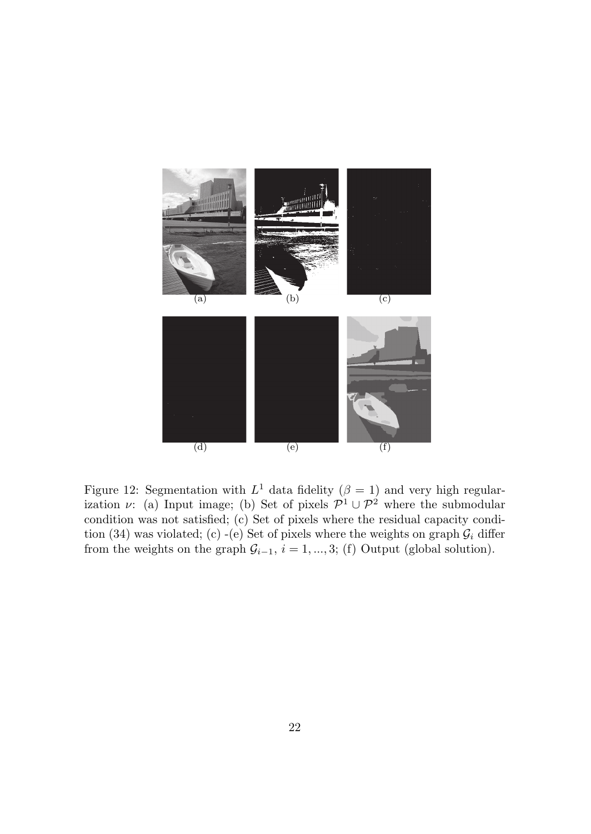

Figure 12: Segmentation with  $L^1$  data fidelity ( $\beta = 1$ ) and very high regularization  $\nu$ : (a) Input image; (b) Set of pixels  $\mathcal{P}^1 \cup \mathcal{P}^2$  where the submodular condition was not satisfied; (c) Set of pixels where the residual capacity condition (34) was violated; (c) -(e) Set of pixels where the weights on graph  $\mathcal{G}_i$  differ from the weights on the graph  $\mathcal{G}_{i-1}$ ,  $i = 1, ..., 3$ ; (f) Output (global solution).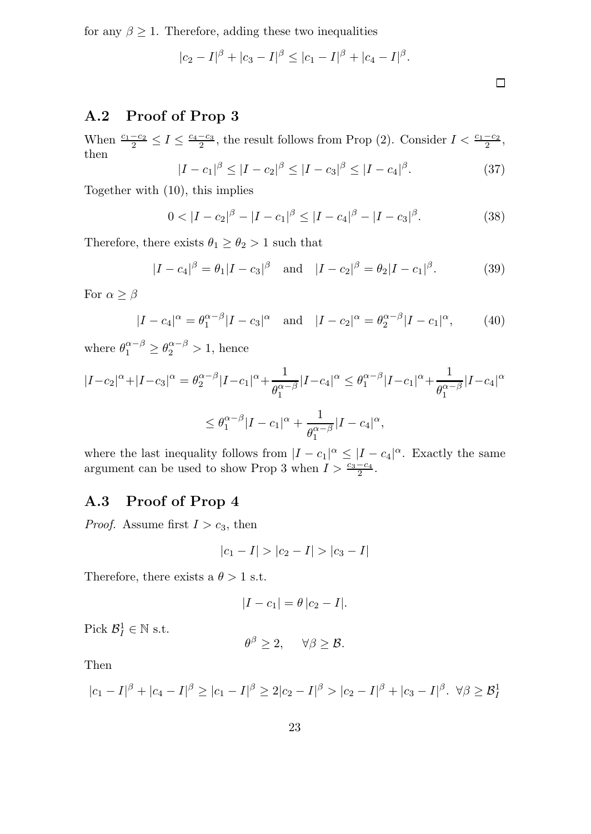for any  $\beta \geq 1$ . Therefore, adding these two inequalities

$$
|c_2 - I|^{\beta} + |c_3 - I|^{\beta} \leq |c_1 - I|^{\beta} + |c_4 - I|^{\beta}.
$$

## **A.2 Proof of Prop 3**

When  $\frac{c_1-c_2}{2} \leq I \leq \frac{c_4-c_3}{2}$ , the result follows from Prop (2). Consider  $I < \frac{c_1-c_2}{2}$ , then  $\int$   $c_1$ | $\beta$ 

$$
I - c_1|^{\beta} \le |I - c_2|^{\beta} \le |I - c_3|^{\beta} \le |I - c_4|^{\beta}.
$$
 (37)

 $\Box$ 

Together with (10), this implies

$$
0 < |I - c_2|^{\beta} - |I - c_1|^{\beta} \le |I - c_4|^{\beta} - |I - c_3|^{\beta}.
$$
 (38)

Therefore, there exists  $\theta_1 \ge \theta_2 > 1$  such that

$$
|I - c_4|^{\beta} = \theta_1 |I - c_3|^{\beta} \quad \text{and} \quad |I - c_2|^{\beta} = \theta_2 |I - c_1|^{\beta}.
$$
 (39)

For  $\alpha \geq \beta$ 

$$
|I - c_4|^{\alpha} = \theta_1^{\alpha - \beta} |I - c_3|^{\alpha} \text{ and } |I - c_2|^{\alpha} = \theta_2^{\alpha - \beta} |I - c_1|^{\alpha}, \quad (40)
$$

where  $\theta_1^{\alpha-\beta} \ge \theta_2^{\alpha-\beta} > 1$ , hence

$$
|I-c_2|^{\alpha} + |I-c_3|^{\alpha} = \theta_2^{\alpha-\beta} |I-c_1|^{\alpha} + \frac{1}{\theta_1^{\alpha-\beta}} |I-c_4|^{\alpha} \le \theta_1^{\alpha-\beta} |I-c_1|^{\alpha} + \frac{1}{\theta_1^{\alpha-\beta}} |I-c_4|^{\alpha}
$$
  

$$
\le \theta_1^{\alpha-\beta} |I-c_1|^{\alpha} + \frac{1}{\theta_1^{\alpha-\beta}} |I-c_4|^{\alpha},
$$

where the last inequality follows from  $|I - c_1|^{\alpha} \leq |I - c_4|^{\alpha}$ . Exactly the same argument can be used to show Prop 3 when  $I > \frac{c_3-c_4}{2}$ .

## **A.3 Proof of Prop 4**

*Proof.* Assume first  $I > c_3$ , then

$$
|c_1 - I| > |c_2 - I| > |c_3 - I|
$$

Therefore, there exists a  $\theta > 1$  s.t.

$$
|I - c_1| = \theta |c_2 - I|.
$$

Pick  $\mathcal{B}^1_I \in \mathbb{N}$  s.t.

$$
\theta^{\beta} \geq 2, \quad \forall \beta \geq \mathcal{B}.
$$

Then

$$
|c_1 - I|^{\beta} + |c_4 - I|^{\beta} \ge |c_1 - I|^{\beta} \ge 2|c_2 - I|^{\beta} > |c_2 - I|^{\beta} + |c_3 - I|^{\beta}. \ \forall \beta \ge \beta_I^1
$$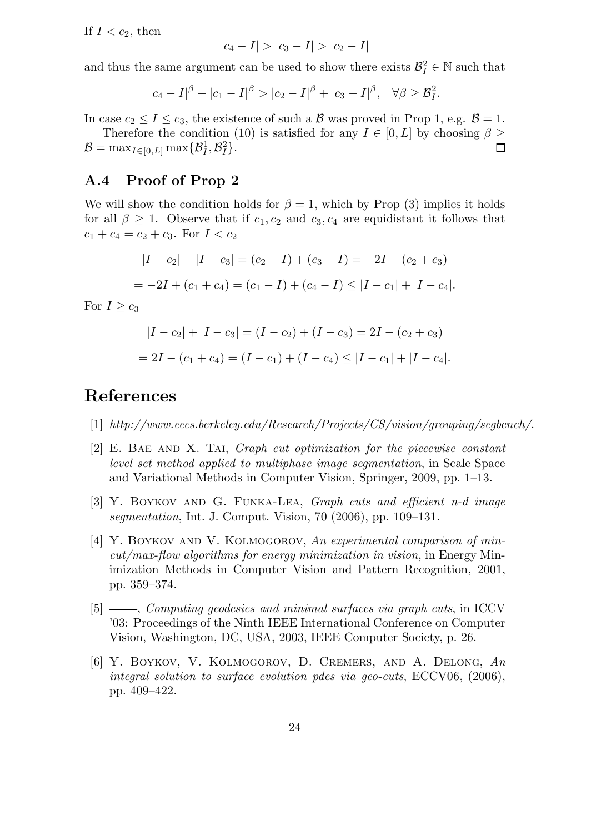If  $I < c_2$ , then

$$
|c_4 - I| > |c_3 - I| > |c_2 - I|
$$

and thus the same argument can be used to show there exists  $\mathcal{B}_I^2 \in \mathbb{N}$  such that

$$
|c_4 - I|^{\beta} + |c_1 - I|^{\beta} > |c_2 - I|^{\beta} + |c_3 - I|^{\beta}, \quad \forall \beta \geq \mathcal{B}_I^2.
$$

In case  $c_2 \leq I \leq c_3$ , the existence of such a  $\mathcal{B}$  was proved in Prop 1, e.g.  $\mathcal{B} = 1$ .

Therefore the condition (10) is satisfied for any  $I \in [0, L]$  by choosing  $\beta \geq$  $\mathcal{B} = \max_{I \in [0,L]} \max\{\mathcal{B}_I^1, \mathcal{B}_I^2\}.$  $\Box$ 

### **A.4 Proof of Prop 2**

We will show the condition holds for  $\beta = 1$ , which by Prop (3) implies it holds for all  $\beta \geq 1$ . Observe that if  $c_1, c_2$  and  $c_3, c_4$  are equidistant it follows that  $c_1 + c_4 = c_2 + c_3$ . For  $I < c_2$ 

$$
|I - c_2| + |I - c_3| = (c_2 - I) + (c_3 - I) = -2I + (c_2 + c_3)
$$
  
= -2I + (c\_1 + c\_4) = (c\_1 - I) + (c\_4 - I) \le |I - c\_1| + |I - c\_4|.

For  $I \geq c_3$ 

$$
|I - c_2| + |I - c_3| = (I - c_2) + (I - c_3) = 2I - (c_2 + c_3)
$$
  
= 2I - (c<sub>1</sub> + c<sub>4</sub>) = (I - c<sub>1</sub>) + (I - c<sub>4</sub>) \le |I - c<sub>1</sub>| + |I - c<sub>4</sub>|.

## **References**

- [1] http://www.eecs.berkeley.edu/Research/Projects/CS/vision/grouping/segbench/.
- [2] E. Bae and X. Tai, Graph cut optimization for the piecewise constant level set method applied to multiphase image segmentation, in Scale Space and Variational Methods in Computer Vision, Springer, 2009, pp. 1–13.
- [3] Y. Boykov and G. Funka-Lea, Graph cuts and efficient n-d image segmentation, Int. J. Comput. Vision, 70 (2006), pp. 109–131.
- [4] Y. BOYKOV AND V. KOLMOGOROV, An experimental comparison of mincut/max-flow algorithms for energy minimization in vision, in Energy Minimization Methods in Computer Vision and Pattern Recognition, 2001, pp. 359–374.
- [5]  $\frac{1}{10}$ , Computing geodesics and minimal surfaces via graph cuts, in ICCV '03: Proceedings of the Ninth IEEE International Conference on Computer Vision, Washington, DC, USA, 2003, IEEE Computer Society, p. 26.
- [6] Y. Boykov, V. Kolmogorov, D. Cremers, and A. Delong, An integral solution to surface evolution pdes via geo-cuts, ECCV06, (2006), pp. 409–422.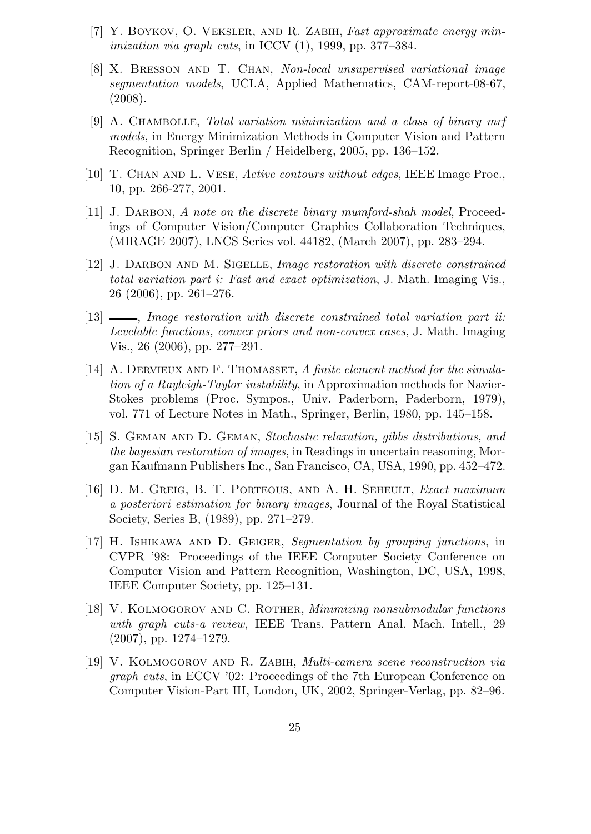- $[7]$  Y. BOYKOV, O. VEKSLER, AND R. ZABIH, Fast approximate energy min*imization via graph cuts,* in ICCV  $(1)$ , 1999, pp. 377–384.
- [8] X. Bresson and T. Chan, Non-local unsupervised variational image segmentation models, UCLA, Applied Mathematics, CAM-report-08-67, (2008).
- [9] A. Chambolle, Total variation minimization and a class of binary mrf models, in Energy Minimization Methods in Computer Vision and Pattern Recognition, Springer Berlin / Heidelberg, 2005, pp. 136–152.
- [10] T. Chan and L. Vese, Active contours without edges, IEEE Image Proc., 10, pp. 266-277, 2001.
- [11] J. DARBON, A note on the discrete binary mumford-shah model, Proceedings of Computer Vision/Computer Graphics Collaboration Techniques, (MIRAGE 2007), LNCS Series vol. 44182, (March 2007), pp. 283–294.
- [12] J. DARBON AND M. SIGELLE, *Image restoration with discrete constrained* total variation part i: Fast and exact optimization, J. Math. Imaging Vis., 26 (2006), pp. 261–276.
- $[13]$   $\_\_\_\_\_\$  Image restoration with discrete constrained total variation part ii: Levelable functions, convex priors and non-convex cases, J. Math. Imaging Vis., 26 (2006), pp. 277–291.
- [14] A. DERVIEUX AND F. THOMASSET, A finite element method for the simulation of a Rayleigh-Taylor instability, in Approximation methods for Navier-Stokes problems (Proc. Sympos., Univ. Paderborn, Paderborn, 1979), vol. 771 of Lecture Notes in Math., Springer, Berlin, 1980, pp. 145–158.
- [15] S. Geman and D. Geman, Stochastic relaxation, gibbs distributions, and the bayesian restoration of images, in Readings in uncertain reasoning, Morgan Kaufmann Publishers Inc., San Francisco, CA, USA, 1990, pp. 452–472.
- [16] D. M. GREIG, B. T. PORTEOUS, AND A. H. SEHEULT, Exact maximum a posteriori estimation for binary images, Journal of the Royal Statistical Society, Series B, (1989), pp. 271–279.
- [17] H. Ishikawa and D. Geiger, Segmentation by grouping junctions, in CVPR '98: Proceedings of the IEEE Computer Society Conference on Computer Vision and Pattern Recognition, Washington, DC, USA, 1998, IEEE Computer Society, pp. 125–131.
- [18] V. Kolmogorov and C. Rother, Minimizing nonsubmodular functions with graph cuts-a review, IEEE Trans. Pattern Anal. Mach. Intell., 29 (2007), pp. 1274–1279.
- [19] V. Kolmogorov and R. Zabih, Multi-camera scene reconstruction via graph cuts, in ECCV '02: Proceedings of the 7th European Conference on Computer Vision-Part III, London, UK, 2002, Springer-Verlag, pp. 82–96.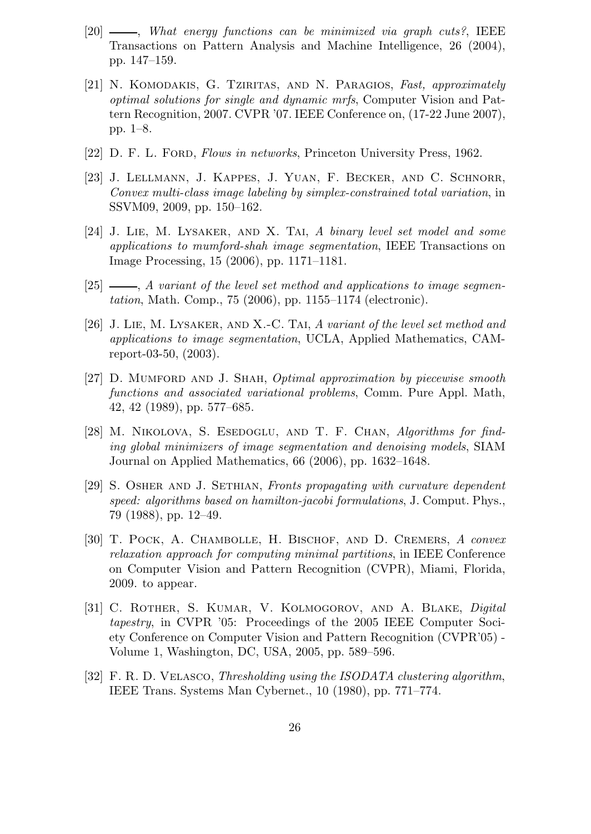- $[20]$  —, What energy functions can be minimized via graph cuts?, IEEE Transactions on Pattern Analysis and Machine Intelligence, 26 (2004), pp. 147–159.
- [21] N. Komodakis, G. Tziritas, and N. Paragios, Fast, approximately optimal solutions for single and dynamic mrfs, Computer Vision and Pattern Recognition, 2007. CVPR '07. IEEE Conference on, (17-22 June 2007), pp. 1–8.
- [22] D. F. L. FORD, Flows in networks, Princeton University Press, 1962.
- [23] J. Lellmann, J. Kappes, J. Yuan, F. Becker, and C. Schnorr, Convex multi-class image labeling by simplex-constrained total variation, in SSVM09, 2009, pp. 150–162.
- [24] J. Lie, M. Lysaker, and X. Tai, A binary level set model and some applications to mumford-shah image segmentation, IEEE Transactions on Image Processing, 15 (2006), pp. 1171–1181.
- $[25]$  , A variant of the level set method and applications to image segmentation, Math. Comp., 75 (2006), pp. 1155–1174 (electronic).
- [26] J. Lie, M. Lysaker, and X.-C. Tai, A variant of the level set method and applications to image segmentation, UCLA, Applied Mathematics, CAMreport-03-50, (2003).
- [27] D. MUMFORD AND J. SHAH, *Optimal approximation by piecewise smooth* functions and associated variational problems, Comm. Pure Appl. Math, 42, 42 (1989), pp. 577–685.
- [28] M. NIKOLOVA, S. ESEDOGLU, AND T. F. CHAN, Algorithms for finding global minimizers of image segmentation and denoising models, SIAM Journal on Applied Mathematics, 66 (2006), pp. 1632–1648.
- [29] S. Osher and J. Sethian, Fronts propagating with curvature dependent speed: algorithms based on hamilton-jacobi formulations, J. Comput. Phys., 79 (1988), pp. 12–49.
- [30] T. POCK, A. CHAMBOLLE, H. BISCHOF, AND D. CREMERS, A convex relaxation approach for computing minimal partitions, in IEEE Conference on Computer Vision and Pattern Recognition (CVPR), Miami, Florida, 2009. to appear.
- [31] C. ROTHER, S. KUMAR, V. KOLMOGOROV, AND A. BLAKE, *Digital* tapestry, in CVPR '05: Proceedings of the 2005 IEEE Computer Society Conference on Computer Vision and Pattern Recognition (CVPR'05) - Volume 1, Washington, DC, USA, 2005, pp. 589–596.
- [32] F. R. D. VELASCO, Thresholding using the ISODATA clustering algorithm, IEEE Trans. Systems Man Cybernet., 10 (1980), pp. 771–774.